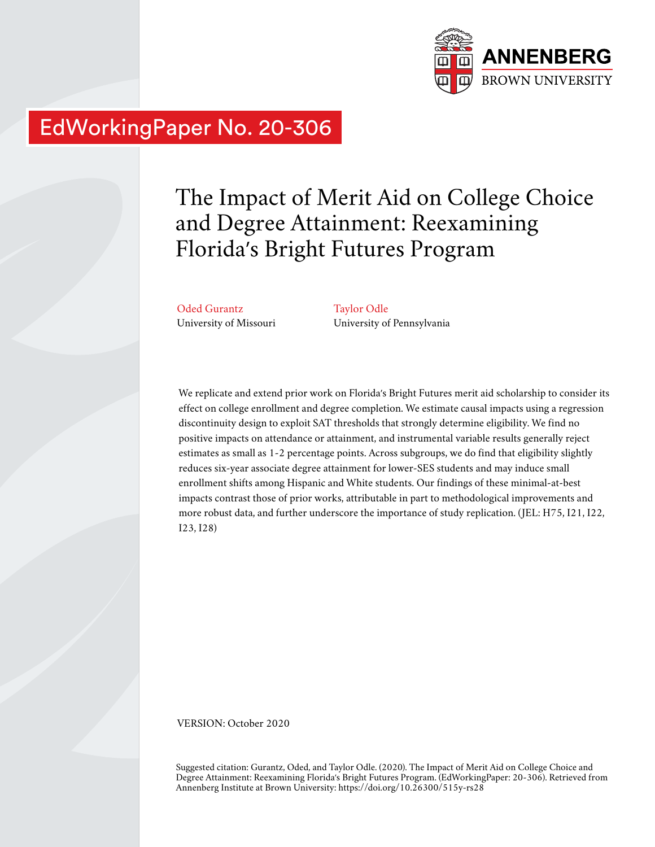

# EdWorkingPaper No. 20-306

# The Impact of Merit Aid on College Choice and Degree Attainment: Reexamining Florida's Bright Futures Program

Oded Gurantz University of Missouri Taylor Odle University of Pennsylvania

We replicate and extend prior work on Florida's Bright Futures merit aid scholarship to consider its effect on college enrollment and degree completion. We estimate causal impacts using a regression discontinuity design to exploit SAT thresholds that strongly determine eligibility. We find no positive impacts on attendance or attainment, and instrumental variable results generally reject estimates as small as 1-2 percentage points. Across subgroups, we do find that eligibility slightly reduces six-year associate degree attainment for lower-SES students and may induce small enrollment shifts among Hispanic and White students. Our findings of these minimal-at-best impacts contrast those of prior works, attributable in part to methodological improvements and more robust data, and further underscore the importance of study replication. (JEL: H75, I21, I22, I23, I28)

VERSION: October 2020

Suggested citation: Gurantz, Oded, and Taylor Odle. (2020). The Impact of Merit Aid on College Choice and Degree Attainment: Reexamining Florida's Bright Futures Program. (EdWorkingPaper: 20-306). Retrieved from Annenberg Institute at Brown University: https://doi.org/10.26300/515y-rs28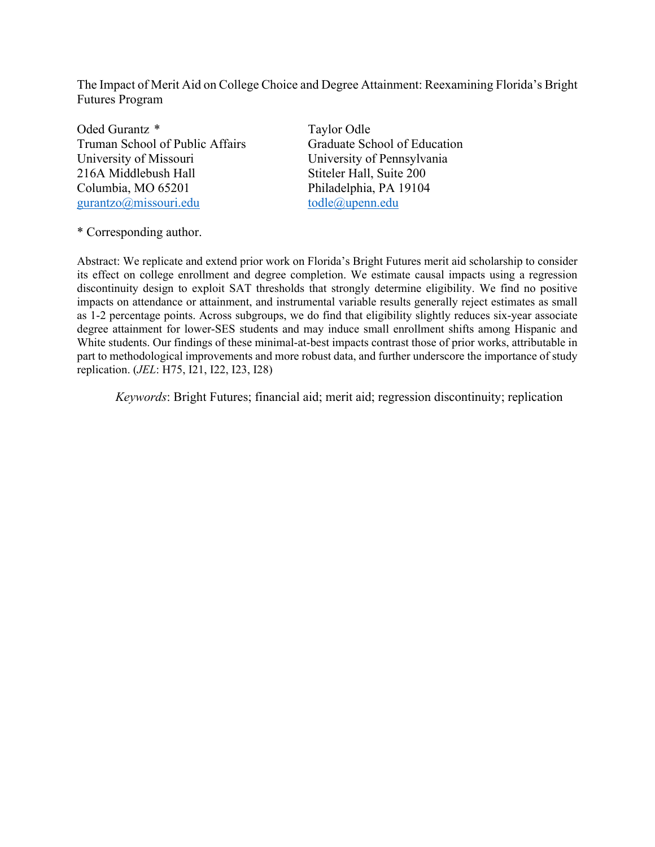The Impact of Merit Aid on College Choice and Degree Attainment: Reexamining Florida's Bright Futures Program

Oded Gurantz \* Taylor Odle Truman School of Public Affairs Graduate School of Education University of Missouri University of Pennsylvania 216A Middlebush Hall Stiteler Hall, Suite 200 Columbia, MO 65201 Philadelphia, PA 19104 gurantzo@missouri.edu todle@upenn.edu

\* Corresponding author.

Abstract: We replicate and extend prior work on Florida's Bright Futures merit aid scholarship to consider its effect on college enrollment and degree completion. We estimate causal impacts using a regression discontinuity design to exploit SAT thresholds that strongly determine eligibility. We find no positive impacts on attendance or attainment, and instrumental variable results generally reject estimates as small as 1-2 percentage points. Across subgroups, we do find that eligibility slightly reduces six-year associate degree attainment for lower-SES students and may induce small enrollment shifts among Hispanic and White students. Our findings of these minimal-at-best impacts contrast those of prior works, attributable in part to methodological improvements and more robust data, and further underscore the importance of study replication. (*JEL*: H75, I21, I22, I23, I28)

*Keywords*: Bright Futures; financial aid; merit aid; regression discontinuity; replication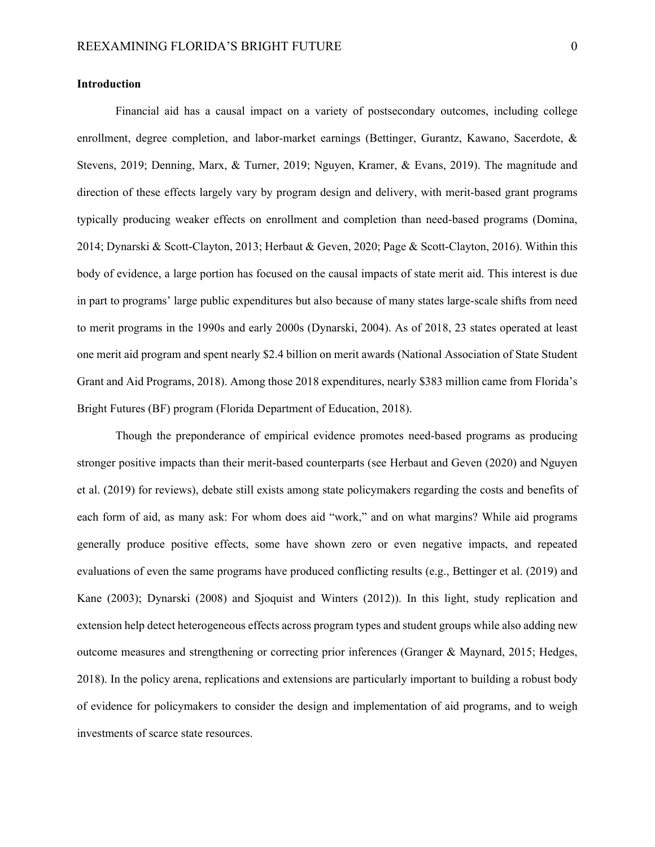#### **Introduction**

Financial aid has a causal impact on a variety of postsecondary outcomes, including college enrollment, degree completion, and labor-market earnings (Bettinger, Gurantz, Kawano, Sacerdote, & Stevens, 2019; Denning, Marx, & Turner, 2019; Nguyen, Kramer, & Evans, 2019). The magnitude and direction of these effects largely vary by program design and delivery, with merit-based grant programs typically producing weaker effects on enrollment and completion than need-based programs (Domina, 2014; Dynarski & Scott-Clayton, 2013; Herbaut & Geven, 2020; Page & Scott-Clayton, 2016). Within this body of evidence, a large portion has focused on the causal impacts of state merit aid. This interest is due in part to programs' large public expenditures but also because of many states large-scale shifts from need to merit programs in the 1990s and early 2000s (Dynarski, 2004). As of 2018, 23 states operated at least one merit aid program and spent nearly \$2.4 billion on merit awards (National Association of State Student Grant and Aid Programs, 2018). Among those 2018 expenditures, nearly \$383 million came from Florida's Bright Futures (BF) program (Florida Department of Education, 2018).

Though the preponderance of empirical evidence promotes need-based programs as producing stronger positive impacts than their merit-based counterparts (see Herbaut and Geven (2020) and Nguyen et al. (2019) for reviews), debate still exists among state policymakers regarding the costs and benefits of each form of aid, as many ask: For whom does aid "work," and on what margins? While aid programs generally produce positive effects, some have shown zero or even negative impacts, and repeated evaluations of even the same programs have produced conflicting results (e.g., Bettinger et al. (2019) and Kane (2003); Dynarski (2008) and Sjoquist and Winters (2012)). In this light, study replication and extension help detect heterogeneous effects across program types and student groups while also adding new outcome measures and strengthening or correcting prior inferences (Granger & Maynard, 2015; Hedges, 2018). In the policy arena, replications and extensions are particularly important to building a robust body of evidence for policymakers to consider the design and implementation of aid programs, and to weigh investments of scarce state resources.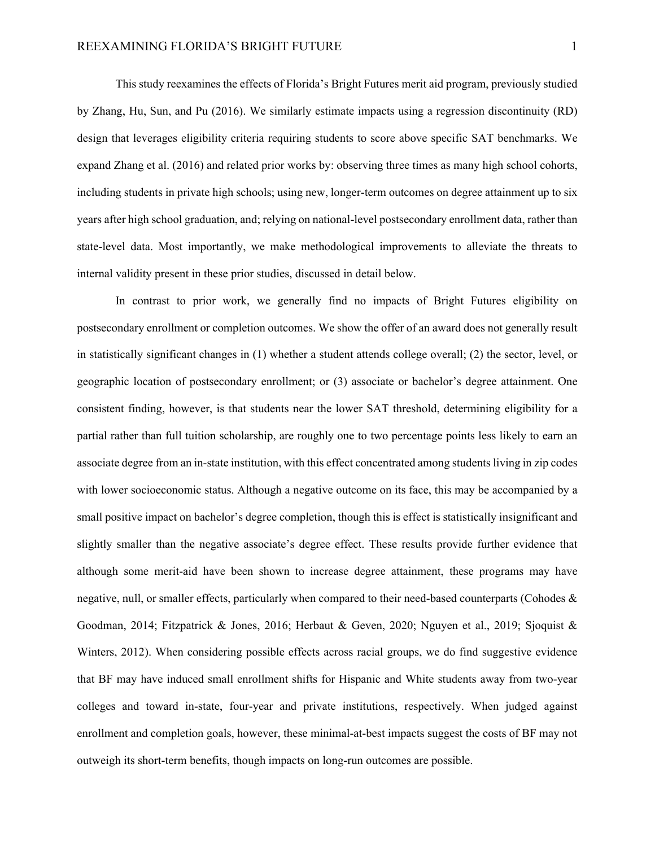This study reexamines the effects of Florida's Bright Futures merit aid program, previously studied by Zhang, Hu, Sun, and Pu (2016). We similarly estimate impacts using a regression discontinuity (RD) design that leverages eligibility criteria requiring students to score above specific SAT benchmarks. We expand Zhang et al. (2016) and related prior works by: observing three times as many high school cohorts, including students in private high schools; using new, longer-term outcomes on degree attainment up to six years after high school graduation, and; relying on national-level postsecondary enrollment data, rather than state-level data. Most importantly, we make methodological improvements to alleviate the threats to internal validity present in these prior studies, discussed in detail below.

In contrast to prior work, we generally find no impacts of Bright Futures eligibility on postsecondary enrollment or completion outcomes. We show the offer of an award does not generally result in statistically significant changes in (1) whether a student attends college overall; (2) the sector, level, or geographic location of postsecondary enrollment; or (3) associate or bachelor's degree attainment. One consistent finding, however, is that students near the lower SAT threshold, determining eligibility for a partial rather than full tuition scholarship, are roughly one to two percentage points less likely to earn an associate degree from an in-state institution, with this effect concentrated among students living in zip codes with lower socioeconomic status. Although a negative outcome on its face, this may be accompanied by a small positive impact on bachelor's degree completion, though this is effect is statistically insignificant and slightly smaller than the negative associate's degree effect. These results provide further evidence that although some merit-aid have been shown to increase degree attainment, these programs may have negative, null, or smaller effects, particularly when compared to their need-based counterparts (Cohodes & Goodman, 2014; Fitzpatrick & Jones, 2016; Herbaut & Geven, 2020; Nguyen et al., 2019; Sjoquist & Winters, 2012). When considering possible effects across racial groups, we do find suggestive evidence that BF may have induced small enrollment shifts for Hispanic and White students away from two-year colleges and toward in-state, four-year and private institutions, respectively. When judged against enrollment and completion goals, however, these minimal-at-best impacts suggest the costs of BF may not outweigh its short-term benefits, though impacts on long-run outcomes are possible.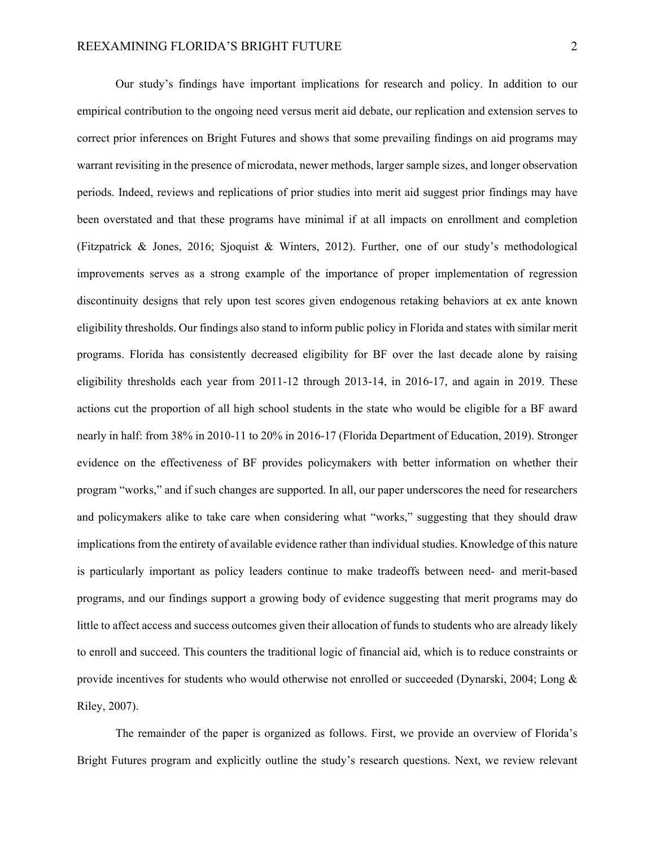Our study's findings have important implications for research and policy. In addition to our empirical contribution to the ongoing need versus merit aid debate, our replication and extension serves to correct prior inferences on Bright Futures and shows that some prevailing findings on aid programs may warrant revisiting in the presence of microdata, newer methods, larger sample sizes, and longer observation periods. Indeed, reviews and replications of prior studies into merit aid suggest prior findings may have been overstated and that these programs have minimal if at all impacts on enrollment and completion (Fitzpatrick & Jones, 2016; Sjoquist & Winters, 2012). Further, one of our study's methodological improvements serves as a strong example of the importance of proper implementation of regression discontinuity designs that rely upon test scores given endogenous retaking behaviors at ex ante known eligibility thresholds. Our findings also stand to inform public policy in Florida and states with similar merit programs. Florida has consistently decreased eligibility for BF over the last decade alone by raising eligibility thresholds each year from 2011-12 through 2013-14, in 2016-17, and again in 2019. These actions cut the proportion of all high school students in the state who would be eligible for a BF award nearly in half: from 38% in 2010-11 to 20% in 2016-17 (Florida Department of Education, 2019). Stronger evidence on the effectiveness of BF provides policymakers with better information on whether their program "works," and if such changes are supported. In all, our paper underscores the need for researchers and policymakers alike to take care when considering what "works," suggesting that they should draw implications from the entirety of available evidence rather than individual studies. Knowledge of this nature is particularly important as policy leaders continue to make tradeoffs between need- and merit-based programs, and our findings support a growing body of evidence suggesting that merit programs may do little to affect access and success outcomes given their allocation of funds to students who are already likely to enroll and succeed. This counters the traditional logic of financial aid, which is to reduce constraints or provide incentives for students who would otherwise not enrolled or succeeded (Dynarski, 2004; Long & Riley, 2007).

The remainder of the paper is organized as follows. First, we provide an overview of Florida's Bright Futures program and explicitly outline the study's research questions. Next, we review relevant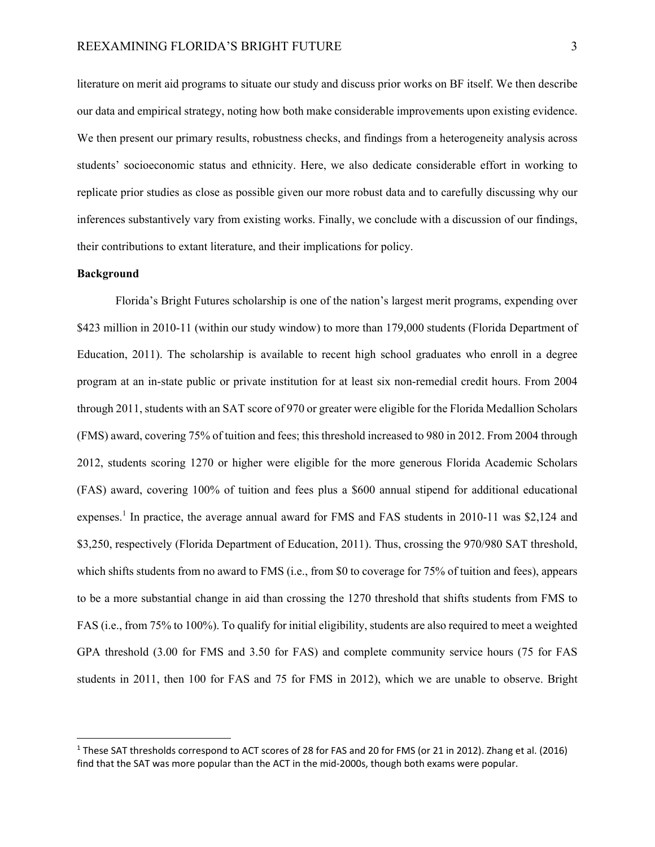literature on merit aid programs to situate our study and discuss prior works on BF itself. We then describe our data and empirical strategy, noting how both make considerable improvements upon existing evidence. We then present our primary results, robustness checks, and findings from a heterogeneity analysis across students' socioeconomic status and ethnicity. Here, we also dedicate considerable effort in working to replicate prior studies as close as possible given our more robust data and to carefully discussing why our inferences substantively vary from existing works. Finally, we conclude with a discussion of our findings, their contributions to extant literature, and their implications for policy.

#### **Background**

Florida's Bright Futures scholarship is one of the nation's largest merit programs, expending over \$423 million in 2010-11 (within our study window) to more than 179,000 students (Florida Department of Education, 2011). The scholarship is available to recent high school graduates who enroll in a degree program at an in-state public or private institution for at least six non-remedial credit hours. From 2004 through 2011, students with an SAT score of 970 or greater were eligible for the Florida Medallion Scholars (FMS) award, covering 75% of tuition and fees; this threshold increased to 980 in 2012. From 2004 through 2012, students scoring 1270 or higher were eligible for the more generous Florida Academic Scholars (FAS) award, covering 100% of tuition and fees plus a \$600 annual stipend for additional educational expenses.<sup>1</sup> In practice, the average annual award for FMS and FAS students in 2010-11 was \$2,124 and \$3,250, respectively (Florida Department of Education, 2011). Thus, crossing the 970/980 SAT threshold, which shifts students from no award to FMS (i.e., from \$0 to coverage for 75% of tuition and fees), appears to be a more substantial change in aid than crossing the 1270 threshold that shifts students from FMS to FAS (i.e., from 75% to 100%). To qualify for initial eligibility, students are also required to meet a weighted GPA threshold (3.00 for FMS and 3.50 for FAS) and complete community service hours (75 for FAS students in 2011, then 100 for FAS and 75 for FMS in 2012), which we are unable to observe. Bright

<sup>&</sup>lt;sup>1</sup> These SAT thresholds correspond to ACT scores of 28 for FAS and 20 for FMS (or 21 in 2012). Zhang et al. (2016) find that the SAT was more popular than the ACT in the mid-2000s, though both exams were popular.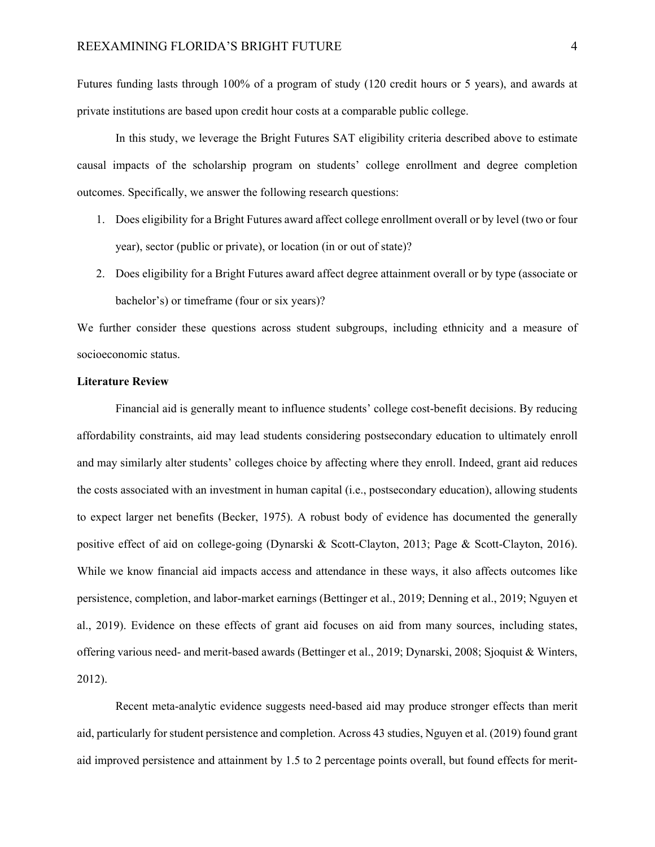Futures funding lasts through 100% of a program of study (120 credit hours or 5 years), and awards at private institutions are based upon credit hour costs at a comparable public college.

In this study, we leverage the Bright Futures SAT eligibility criteria described above to estimate causal impacts of the scholarship program on students' college enrollment and degree completion outcomes. Specifically, we answer the following research questions:

- 1. Does eligibility for a Bright Futures award affect college enrollment overall or by level (two or four year), sector (public or private), or location (in or out of state)?
- 2. Does eligibility for a Bright Futures award affect degree attainment overall or by type (associate or bachelor's) or timeframe (four or six years)?

We further consider these questions across student subgroups, including ethnicity and a measure of socioeconomic status.

### **Literature Review**

Financial aid is generally meant to influence students' college cost-benefit decisions. By reducing affordability constraints, aid may lead students considering postsecondary education to ultimately enroll and may similarly alter students' colleges choice by affecting where they enroll. Indeed, grant aid reduces the costs associated with an investment in human capital (i.e., postsecondary education), allowing students to expect larger net benefits (Becker, 1975). A robust body of evidence has documented the generally positive effect of aid on college-going (Dynarski & Scott-Clayton, 2013; Page & Scott-Clayton, 2016). While we know financial aid impacts access and attendance in these ways, it also affects outcomes like persistence, completion, and labor-market earnings (Bettinger et al., 2019; Denning et al., 2019; Nguyen et al., 2019). Evidence on these effects of grant aid focuses on aid from many sources, including states, offering various need- and merit-based awards (Bettinger et al., 2019; Dynarski, 2008; Sjoquist & Winters, 2012).

Recent meta-analytic evidence suggests need-based aid may produce stronger effects than merit aid, particularly for student persistence and completion. Across 43 studies, Nguyen et al. (2019) found grant aid improved persistence and attainment by 1.5 to 2 percentage points overall, but found effects for merit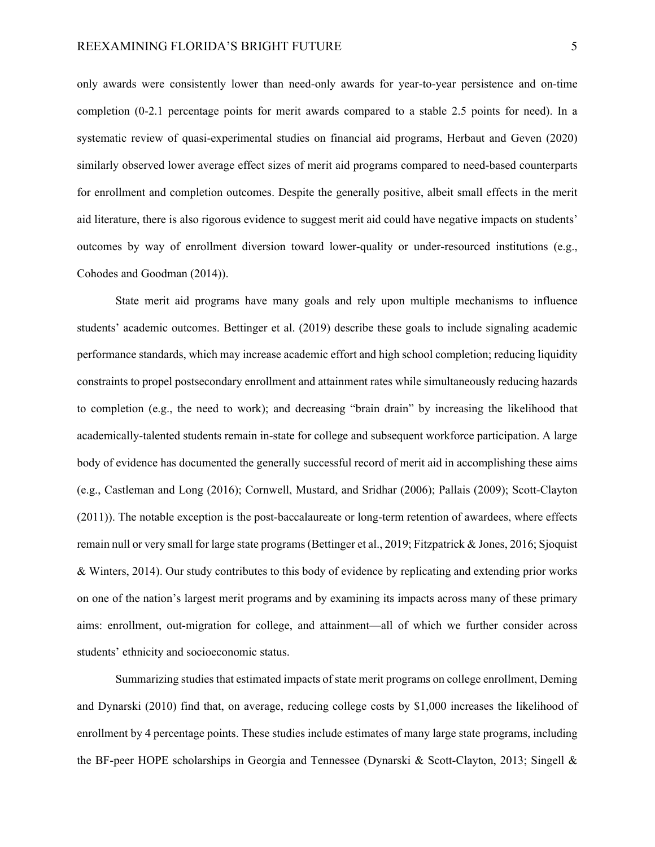only awards were consistently lower than need-only awards for year-to-year persistence and on-time completion (0-2.1 percentage points for merit awards compared to a stable 2.5 points for need). In a systematic review of quasi-experimental studies on financial aid programs, Herbaut and Geven (2020) similarly observed lower average effect sizes of merit aid programs compared to need-based counterparts for enrollment and completion outcomes. Despite the generally positive, albeit small effects in the merit aid literature, there is also rigorous evidence to suggest merit aid could have negative impacts on students' outcomes by way of enrollment diversion toward lower-quality or under-resourced institutions (e.g., Cohodes and Goodman (2014)).

 State merit aid programs have many goals and rely upon multiple mechanisms to influence students' academic outcomes. Bettinger et al. (2019) describe these goals to include signaling academic performance standards, which may increase academic effort and high school completion; reducing liquidity constraints to propel postsecondary enrollment and attainment rates while simultaneously reducing hazards to completion (e.g., the need to work); and decreasing "brain drain" by increasing the likelihood that academically-talented students remain in-state for college and subsequent workforce participation. A large body of evidence has documented the generally successful record of merit aid in accomplishing these aims (e.g., Castleman and Long (2016); Cornwell, Mustard, and Sridhar (2006); Pallais (2009); Scott-Clayton (2011)). The notable exception is the post-baccalaureate or long-term retention of awardees, where effects remain null or very small for large state programs (Bettinger et al., 2019; Fitzpatrick & Jones, 2016; Sjoquist & Winters, 2014). Our study contributes to this body of evidence by replicating and extending prior works on one of the nation's largest merit programs and by examining its impacts across many of these primary aims: enrollment, out-migration for college, and attainment—all of which we further consider across students' ethnicity and socioeconomic status.

Summarizing studies that estimated impacts of state merit programs on college enrollment, Deming and Dynarski (2010) find that, on average, reducing college costs by \$1,000 increases the likelihood of enrollment by 4 percentage points. These studies include estimates of many large state programs, including the BF-peer HOPE scholarships in Georgia and Tennessee (Dynarski & Scott-Clayton, 2013; Singell &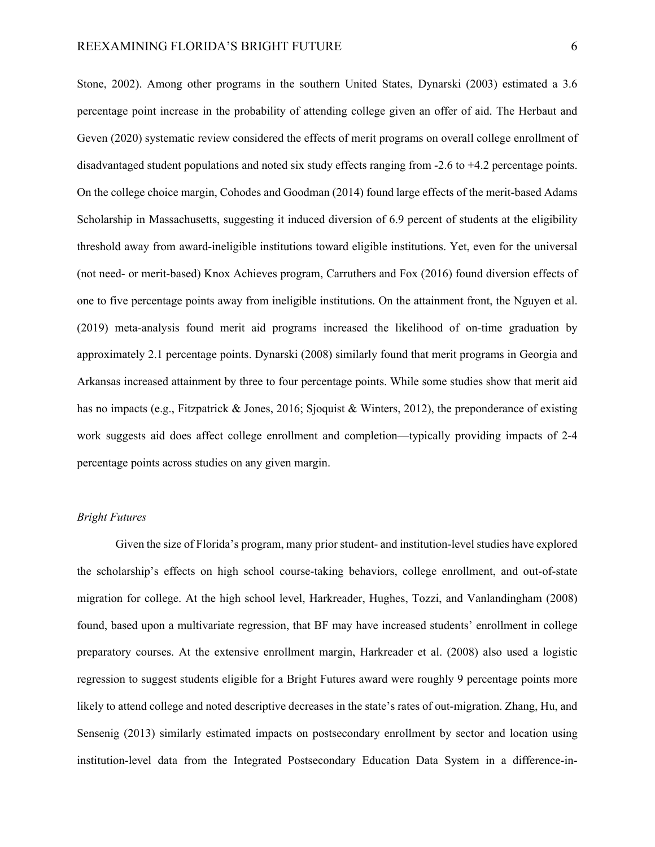Stone, 2002). Among other programs in the southern United States, Dynarski (2003) estimated a 3.6 percentage point increase in the probability of attending college given an offer of aid. The Herbaut and Geven (2020) systematic review considered the effects of merit programs on overall college enrollment of disadvantaged student populations and noted six study effects ranging from -2.6 to +4.2 percentage points. On the college choice margin, Cohodes and Goodman (2014) found large effects of the merit-based Adams Scholarship in Massachusetts, suggesting it induced diversion of 6.9 percent of students at the eligibility threshold away from award-ineligible institutions toward eligible institutions. Yet, even for the universal (not need- or merit-based) Knox Achieves program, Carruthers and Fox (2016) found diversion effects of one to five percentage points away from ineligible institutions. On the attainment front, the Nguyen et al. (2019) meta-analysis found merit aid programs increased the likelihood of on-time graduation by approximately 2.1 percentage points. Dynarski (2008) similarly found that merit programs in Georgia and Arkansas increased attainment by three to four percentage points. While some studies show that merit aid has no impacts (e.g., Fitzpatrick & Jones, 2016; Sjoquist & Winters, 2012), the preponderance of existing work suggests aid does affect college enrollment and completion—typically providing impacts of 2-4 percentage points across studies on any given margin.

#### *Bright Futures*

Given the size of Florida's program, many prior student- and institution-level studies have explored the scholarship's effects on high school course-taking behaviors, college enrollment, and out-of-state migration for college. At the high school level, Harkreader, Hughes, Tozzi, and Vanlandingham (2008) found, based upon a multivariate regression, that BF may have increased students' enrollment in college preparatory courses. At the extensive enrollment margin, Harkreader et al. (2008) also used a logistic regression to suggest students eligible for a Bright Futures award were roughly 9 percentage points more likely to attend college and noted descriptive decreases in the state's rates of out-migration. Zhang, Hu, and Sensenig (2013) similarly estimated impacts on postsecondary enrollment by sector and location using institution-level data from the Integrated Postsecondary Education Data System in a difference-in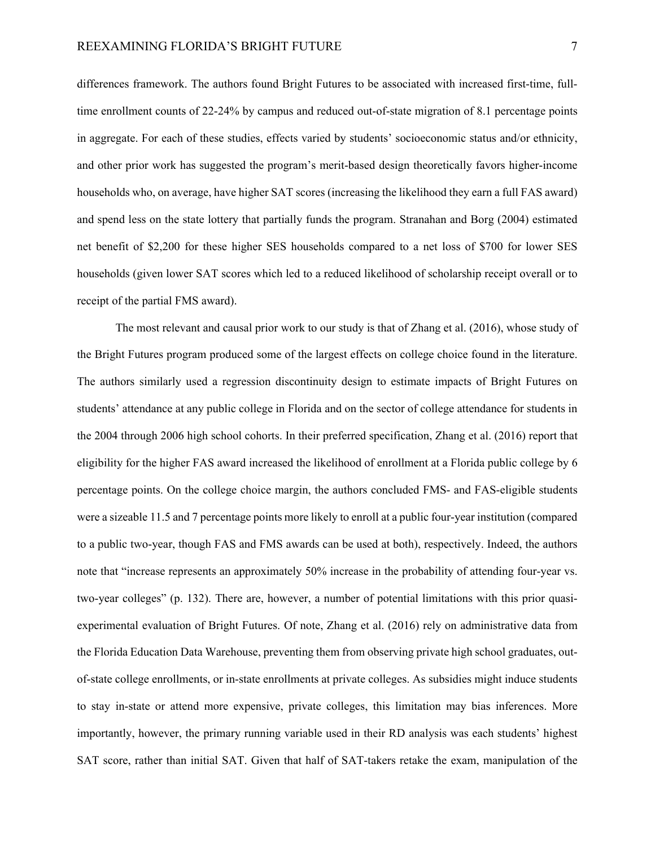differences framework. The authors found Bright Futures to be associated with increased first-time, fulltime enrollment counts of 22-24% by campus and reduced out-of-state migration of 8.1 percentage points in aggregate. For each of these studies, effects varied by students' socioeconomic status and/or ethnicity, and other prior work has suggested the program's merit-based design theoretically favors higher-income households who, on average, have higher SAT scores (increasing the likelihood they earn a full FAS award) and spend less on the state lottery that partially funds the program. Stranahan and Borg (2004) estimated net benefit of \$2,200 for these higher SES households compared to a net loss of \$700 for lower SES households (given lower SAT scores which led to a reduced likelihood of scholarship receipt overall or to receipt of the partial FMS award).

The most relevant and causal prior work to our study is that of Zhang et al. (2016), whose study of the Bright Futures program produced some of the largest effects on college choice found in the literature. The authors similarly used a regression discontinuity design to estimate impacts of Bright Futures on students' attendance at any public college in Florida and on the sector of college attendance for students in the 2004 through 2006 high school cohorts. In their preferred specification, Zhang et al. (2016) report that eligibility for the higher FAS award increased the likelihood of enrollment at a Florida public college by 6 percentage points. On the college choice margin, the authors concluded FMS- and FAS-eligible students were a sizeable 11.5 and 7 percentage points more likely to enroll at a public four-year institution (compared to a public two-year, though FAS and FMS awards can be used at both), respectively. Indeed, the authors note that "increase represents an approximately 50% increase in the probability of attending four-year vs. two-year colleges" (p. 132). There are, however, a number of potential limitations with this prior quasiexperimental evaluation of Bright Futures. Of note, Zhang et al. (2016) rely on administrative data from the Florida Education Data Warehouse, preventing them from observing private high school graduates, outof-state college enrollments, or in-state enrollments at private colleges. As subsidies might induce students to stay in-state or attend more expensive, private colleges, this limitation may bias inferences. More importantly, however, the primary running variable used in their RD analysis was each students' highest SAT score, rather than initial SAT. Given that half of SAT-takers retake the exam, manipulation of the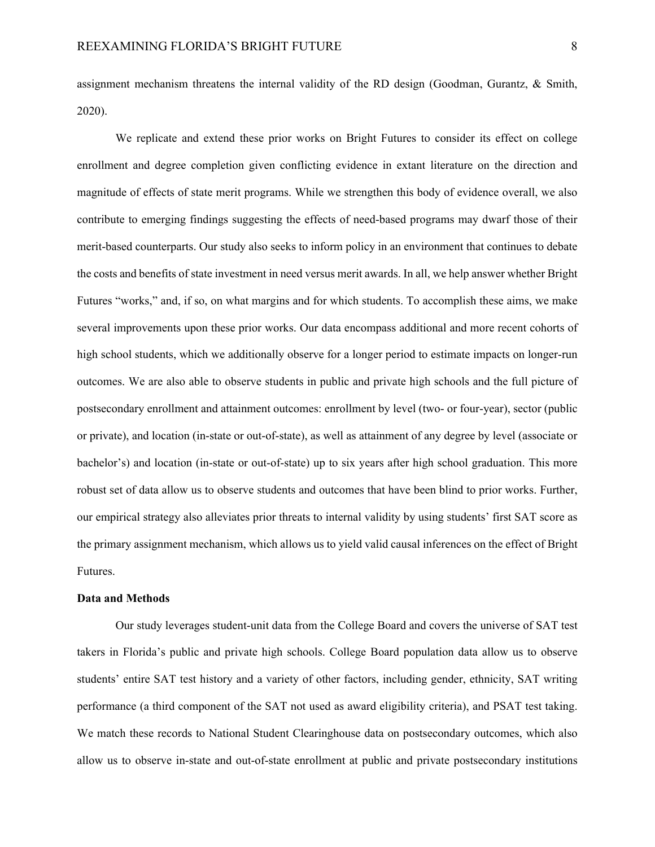assignment mechanism threatens the internal validity of the RD design (Goodman, Gurantz, & Smith, 2020).

We replicate and extend these prior works on Bright Futures to consider its effect on college enrollment and degree completion given conflicting evidence in extant literature on the direction and magnitude of effects of state merit programs. While we strengthen this body of evidence overall, we also contribute to emerging findings suggesting the effects of need-based programs may dwarf those of their merit-based counterparts. Our study also seeks to inform policy in an environment that continues to debate the costs and benefits of state investment in need versus merit awards. In all, we help answer whether Bright Futures "works," and, if so, on what margins and for which students. To accomplish these aims, we make several improvements upon these prior works. Our data encompass additional and more recent cohorts of high school students, which we additionally observe for a longer period to estimate impacts on longer-run outcomes. We are also able to observe students in public and private high schools and the full picture of postsecondary enrollment and attainment outcomes: enrollment by level (two- or four-year), sector (public or private), and location (in-state or out-of-state), as well as attainment of any degree by level (associate or bachelor's) and location (in-state or out-of-state) up to six years after high school graduation. This more robust set of data allow us to observe students and outcomes that have been blind to prior works. Further, our empirical strategy also alleviates prior threats to internal validity by using students' first SAT score as the primary assignment mechanism, which allows us to yield valid causal inferences on the effect of Bright Futures.

#### **Data and Methods**

Our study leverages student-unit data from the College Board and covers the universe of SAT test takers in Florida's public and private high schools. College Board population data allow us to observe students' entire SAT test history and a variety of other factors, including gender, ethnicity, SAT writing performance (a third component of the SAT not used as award eligibility criteria), and PSAT test taking. We match these records to National Student Clearinghouse data on postsecondary outcomes, which also allow us to observe in-state and out-of-state enrollment at public and private postsecondary institutions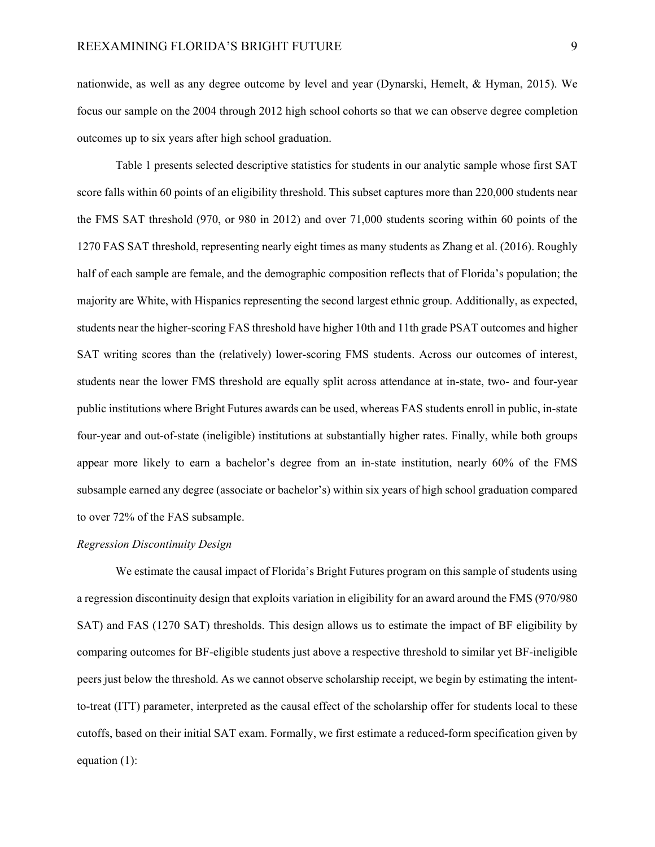nationwide, as well as any degree outcome by level and year (Dynarski, Hemelt, & Hyman, 2015). We focus our sample on the 2004 through 2012 high school cohorts so that we can observe degree completion outcomes up to six years after high school graduation.

Table 1 presents selected descriptive statistics for students in our analytic sample whose first SAT score falls within 60 points of an eligibility threshold. This subset captures more than 220,000 students near the FMS SAT threshold (970, or 980 in 2012) and over 71,000 students scoring within 60 points of the 1270 FAS SAT threshold, representing nearly eight times as many students as Zhang et al. (2016). Roughly half of each sample are female, and the demographic composition reflects that of Florida's population; the majority are White, with Hispanics representing the second largest ethnic group. Additionally, as expected, students near the higher-scoring FAS threshold have higher 10th and 11th grade PSAT outcomes and higher SAT writing scores than the (relatively) lower-scoring FMS students. Across our outcomes of interest, students near the lower FMS threshold are equally split across attendance at in-state, two- and four-year public institutions where Bright Futures awards can be used, whereas FAS students enroll in public, in-state four-year and out-of-state (ineligible) institutions at substantially higher rates. Finally, while both groups appear more likely to earn a bachelor's degree from an in-state institution, nearly 60% of the FMS subsample earned any degree (associate or bachelor's) within six years of high school graduation compared to over 72% of the FAS subsample.

#### *Regression Discontinuity Design*

We estimate the causal impact of Florida's Bright Futures program on this sample of students using a regression discontinuity design that exploits variation in eligibility for an award around the FMS (970/980 SAT) and FAS (1270 SAT) thresholds. This design allows us to estimate the impact of BF eligibility by comparing outcomes for BF-eligible students just above a respective threshold to similar yet BF-ineligible peers just below the threshold. As we cannot observe scholarship receipt, we begin by estimating the intentto-treat (ITT) parameter, interpreted as the causal effect of the scholarship offer for students local to these cutoffs, based on their initial SAT exam. Formally, we first estimate a reduced-form specification given by equation (1):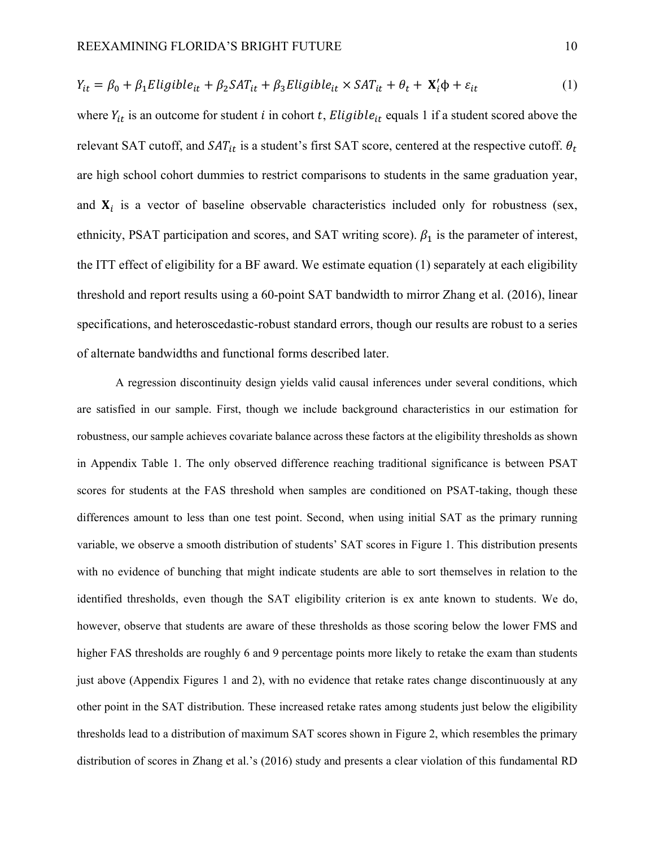$$
Y_{it} = \beta_0 + \beta_1 Elligible_{it} + \beta_2 SAT_{it} + \beta_3 Elligible_{it} \times SAT_{it} + \theta_t + \mathbf{X}_i' \phi + \varepsilon_{it}
$$
 (1)

where  $Y_{it}$  is an outcome for student *i* in cohort *t*, *Eligible*<sub>it</sub> equals 1 if a student scored above the relevant SAT cutoff, and  $SAT_{it}$  is a student's first SAT score, centered at the respective cutoff.  $\theta_t$ are high school cohort dummies to restrict comparisons to students in the same graduation year, and  $X_i$  is a vector of baseline observable characteristics included only for robustness (sex, ethnicity, PSAT participation and scores, and SAT writing score).  $\beta_1$  is the parameter of interest, the ITT effect of eligibility for a BF award. We estimate equation (1) separately at each eligibility threshold and report results using a 60-point SAT bandwidth to mirror Zhang et al. (2016), linear specifications, and heteroscedastic-robust standard errors, though our results are robust to a series of alternate bandwidths and functional forms described later.

A regression discontinuity design yields valid causal inferences under several conditions, which are satisfied in our sample. First, though we include background characteristics in our estimation for robustness, our sample achieves covariate balance across these factors at the eligibility thresholds as shown in Appendix Table 1. The only observed difference reaching traditional significance is between PSAT scores for students at the FAS threshold when samples are conditioned on PSAT-taking, though these differences amount to less than one test point. Second, when using initial SAT as the primary running variable, we observe a smooth distribution of students' SAT scores in Figure 1. This distribution presents with no evidence of bunching that might indicate students are able to sort themselves in relation to the identified thresholds, even though the SAT eligibility criterion is ex ante known to students. We do, however, observe that students are aware of these thresholds as those scoring below the lower FMS and higher FAS thresholds are roughly 6 and 9 percentage points more likely to retake the exam than students just above (Appendix Figures 1 and 2), with no evidence that retake rates change discontinuously at any other point in the SAT distribution. These increased retake rates among students just below the eligibility thresholds lead to a distribution of maximum SAT scores shown in Figure 2, which resembles the primary distribution of scores in Zhang et al.'s (2016) study and presents a clear violation of this fundamental RD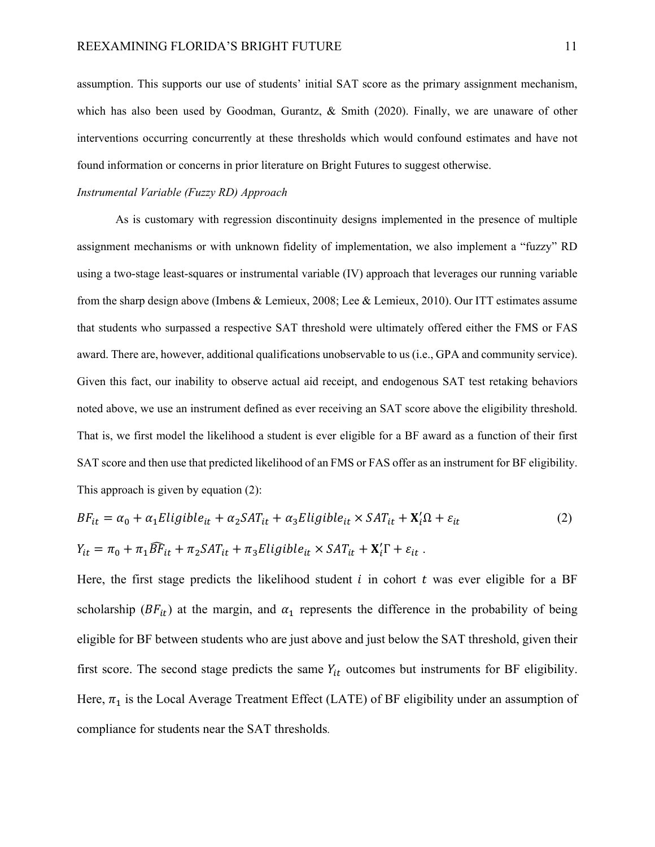assumption. This supports our use of students' initial SAT score as the primary assignment mechanism, which has also been used by Goodman, Gurantz, & Smith (2020). Finally, we are unaware of other interventions occurring concurrently at these thresholds which would confound estimates and have not found information or concerns in prior literature on Bright Futures to suggest otherwise.

#### *Instrumental Variable (Fuzzy RD) Approach*

As is customary with regression discontinuity designs implemented in the presence of multiple assignment mechanisms or with unknown fidelity of implementation, we also implement a "fuzzy" RD using a two-stage least-squares or instrumental variable (IV) approach that leverages our running variable from the sharp design above (Imbens & Lemieux, 2008; Lee & Lemieux, 2010). Our ITT estimates assume that students who surpassed a respective SAT threshold were ultimately offered either the FMS or FAS award. There are, however, additional qualifications unobservable to us (i.e., GPA and community service). Given this fact, our inability to observe actual aid receipt, and endogenous SAT test retaking behaviors noted above, we use an instrument defined as ever receiving an SAT score above the eligibility threshold. That is, we first model the likelihood a student is ever eligible for a BF award as a function of their first SAT score and then use that predicted likelihood of an FMS or FAS offer as an instrument for BF eligibility. This approach is given by equation (2):

$$
BF_{it} = \alpha_0 + \alpha_1 Elligible_{it} + \alpha_2 SAT_{it} + \alpha_3 Elligible_{it} \times SAT_{it} + \mathbf{X}_i' \Omega + \varepsilon_{it}
$$
  
\n
$$
Y_{it} = \pi_0 + \pi_1 \widehat{BF}_{it} + \pi_2 SAT_{it} + \pi_3 Elligible_{it} \times SAT_{it} + \mathbf{X}_i' \Gamma + \varepsilon_{it}.
$$
\n(2)

Here, the first stage predicts the likelihood student  $i$  in cohort  $t$  was ever eligible for a BF scholarship ( $BF_{it}$ ) at the margin, and  $\alpha_1$  represents the difference in the probability of being eligible for BF between students who are just above and just below the SAT threshold, given their first score. The second stage predicts the same  $Y_{it}$  outcomes but instruments for BF eligibility. Here,  $\pi_1$  is the Local Average Treatment Effect (LATE) of BF eligibility under an assumption of compliance for students near the SAT thresholds.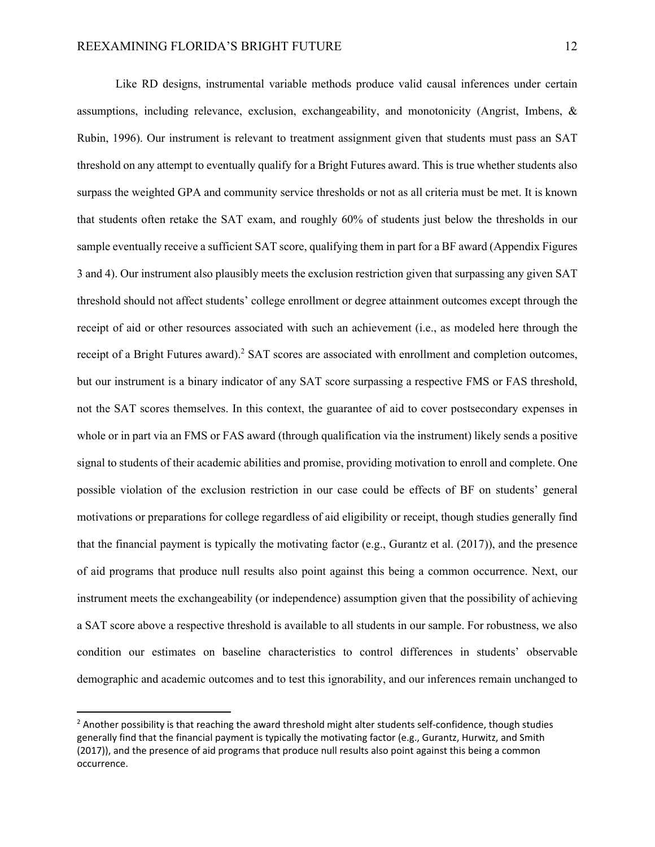Like RD designs, instrumental variable methods produce valid causal inferences under certain assumptions, including relevance, exclusion, exchangeability, and monotonicity (Angrist, Imbens, & Rubin, 1996). Our instrument is relevant to treatment assignment given that students must pass an SAT threshold on any attempt to eventually qualify for a Bright Futures award. This is true whether students also surpass the weighted GPA and community service thresholds or not as all criteria must be met. It is known that students often retake the SAT exam, and roughly 60% of students just below the thresholds in our sample eventually receive a sufficient SAT score, qualifying them in part for a BF award (Appendix Figures 3 and 4). Our instrument also plausibly meets the exclusion restriction given that surpassing any given SAT threshold should not affect students' college enrollment or degree attainment outcomes except through the receipt of aid or other resources associated with such an achievement (i.e., as modeled here through the receipt of a Bright Futures award).<sup>2</sup> SAT scores are associated with enrollment and completion outcomes, but our instrument is a binary indicator of any SAT score surpassing a respective FMS or FAS threshold, not the SAT scores themselves. In this context, the guarantee of aid to cover postsecondary expenses in whole or in part via an FMS or FAS award (through qualification via the instrument) likely sends a positive signal to students of their academic abilities and promise, providing motivation to enroll and complete. One possible violation of the exclusion restriction in our case could be effects of BF on students' general motivations or preparations for college regardless of aid eligibility or receipt, though studies generally find that the financial payment is typically the motivating factor (e.g., Gurantz et al. (2017)), and the presence of aid programs that produce null results also point against this being a common occurrence. Next, our instrument meets the exchangeability (or independence) assumption given that the possibility of achieving a SAT score above a respective threshold is available to all students in our sample. For robustness, we also condition our estimates on baseline characteristics to control differences in students' observable demographic and academic outcomes and to test this ignorability, and our inferences remain unchanged to

 $2$  Another possibility is that reaching the award threshold might alter students self-confidence, though studies generally find that the financial payment is typically the motivating factor (e.g., Gurantz, Hurwitz, and Smith (2017)), and the presence of aid programs that produce null results also point against this being a common occurrence.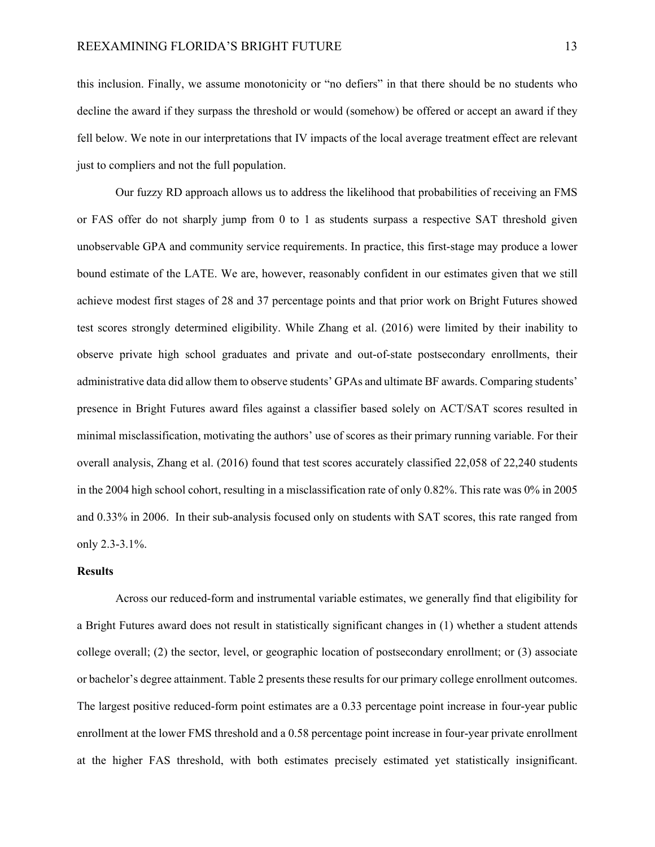this inclusion. Finally, we assume monotonicity or "no defiers" in that there should be no students who decline the award if they surpass the threshold or would (somehow) be offered or accept an award if they fell below. We note in our interpretations that IV impacts of the local average treatment effect are relevant just to compliers and not the full population.

Our fuzzy RD approach allows us to address the likelihood that probabilities of receiving an FMS or FAS offer do not sharply jump from 0 to 1 as students surpass a respective SAT threshold given unobservable GPA and community service requirements. In practice, this first-stage may produce a lower bound estimate of the LATE. We are, however, reasonably confident in our estimates given that we still achieve modest first stages of 28 and 37 percentage points and that prior work on Bright Futures showed test scores strongly determined eligibility. While Zhang et al. (2016) were limited by their inability to observe private high school graduates and private and out-of-state postsecondary enrollments, their administrative data did allow them to observe students' GPAs and ultimate BF awards. Comparing students' presence in Bright Futures award files against a classifier based solely on ACT/SAT scores resulted in minimal misclassification, motivating the authors' use of scores as their primary running variable. For their overall analysis, Zhang et al. (2016) found that test scores accurately classified 22,058 of 22,240 students in the 2004 high school cohort, resulting in a misclassification rate of only 0.82%. This rate was 0% in 2005 and 0.33% in 2006. In their sub-analysis focused only on students with SAT scores, this rate ranged from only 2.3-3.1%.

#### **Results**

Across our reduced-form and instrumental variable estimates, we generally find that eligibility for a Bright Futures award does not result in statistically significant changes in (1) whether a student attends college overall; (2) the sector, level, or geographic location of postsecondary enrollment; or (3) associate or bachelor's degree attainment. Table 2 presents these results for our primary college enrollment outcomes. The largest positive reduced-form point estimates are a 0.33 percentage point increase in four-year public enrollment at the lower FMS threshold and a 0.58 percentage point increase in four-year private enrollment at the higher FAS threshold, with both estimates precisely estimated yet statistically insignificant.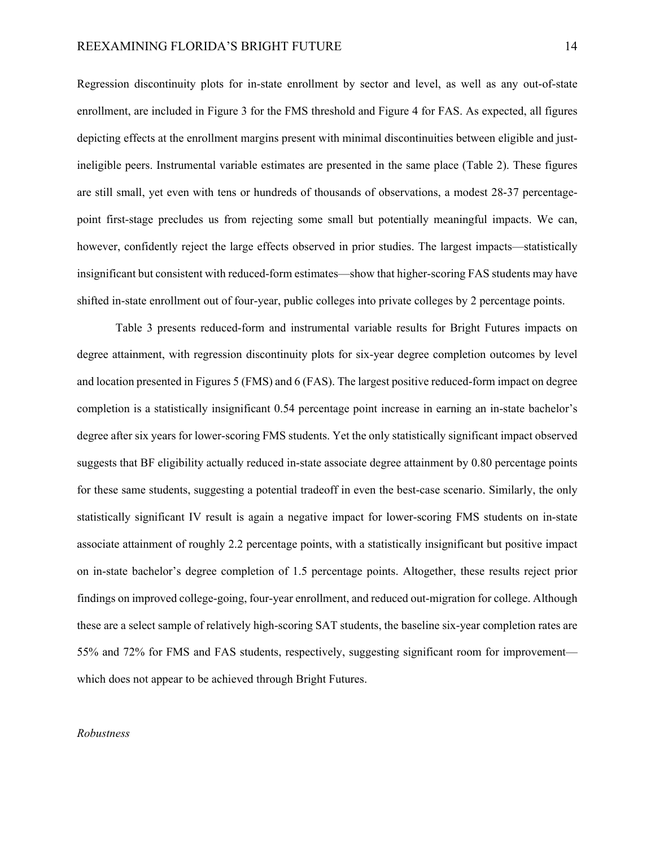Regression discontinuity plots for in-state enrollment by sector and level, as well as any out-of-state enrollment, are included in Figure 3 for the FMS threshold and Figure 4 for FAS. As expected, all figures depicting effects at the enrollment margins present with minimal discontinuities between eligible and justineligible peers. Instrumental variable estimates are presented in the same place (Table 2). These figures are still small, yet even with tens or hundreds of thousands of observations, a modest 28-37 percentagepoint first-stage precludes us from rejecting some small but potentially meaningful impacts. We can, however, confidently reject the large effects observed in prior studies. The largest impacts—statistically insignificant but consistent with reduced-form estimates—show that higher-scoring FAS students may have shifted in-state enrollment out of four-year, public colleges into private colleges by 2 percentage points.

Table 3 presents reduced-form and instrumental variable results for Bright Futures impacts on degree attainment, with regression discontinuity plots for six-year degree completion outcomes by level and location presented in Figures 5 (FMS) and 6 (FAS). The largest positive reduced-form impact on degree completion is a statistically insignificant 0.54 percentage point increase in earning an in-state bachelor's degree after six years for lower-scoring FMS students. Yet the only statistically significant impact observed suggests that BF eligibility actually reduced in-state associate degree attainment by 0.80 percentage points for these same students, suggesting a potential tradeoff in even the best-case scenario. Similarly, the only statistically significant IV result is again a negative impact for lower-scoring FMS students on in-state associate attainment of roughly 2.2 percentage points, with a statistically insignificant but positive impact on in-state bachelor's degree completion of 1.5 percentage points. Altogether, these results reject prior findings on improved college-going, four-year enrollment, and reduced out-migration for college. Although these are a select sample of relatively high-scoring SAT students, the baseline six-year completion rates are 55% and 72% for FMS and FAS students, respectively, suggesting significant room for improvement which does not appear to be achieved through Bright Futures.

#### *Robustness*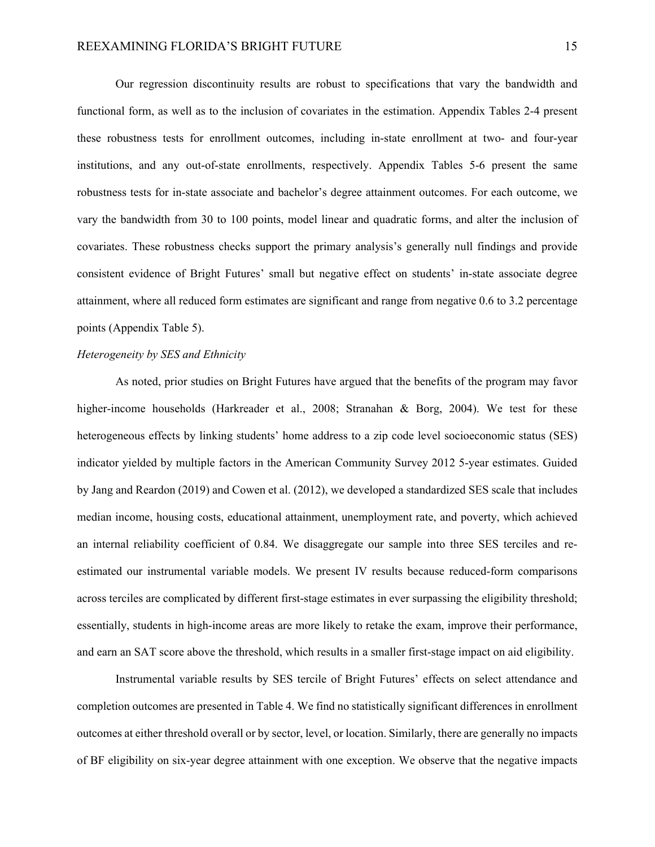Our regression discontinuity results are robust to specifications that vary the bandwidth and functional form, as well as to the inclusion of covariates in the estimation. Appendix Tables 2-4 present these robustness tests for enrollment outcomes, including in-state enrollment at two- and four-year institutions, and any out-of-state enrollments, respectively. Appendix Tables 5-6 present the same robustness tests for in-state associate and bachelor's degree attainment outcomes. For each outcome, we vary the bandwidth from 30 to 100 points, model linear and quadratic forms, and alter the inclusion of covariates. These robustness checks support the primary analysis's generally null findings and provide consistent evidence of Bright Futures' small but negative effect on students' in-state associate degree attainment, where all reduced form estimates are significant and range from negative 0.6 to 3.2 percentage points (Appendix Table 5).

#### *Heterogeneity by SES and Ethnicity*

As noted, prior studies on Bright Futures have argued that the benefits of the program may favor higher-income households (Harkreader et al., 2008; Stranahan & Borg, 2004). We test for these heterogeneous effects by linking students' home address to a zip code level socioeconomic status (SES) indicator yielded by multiple factors in the American Community Survey 2012 5-year estimates. Guided by Jang and Reardon (2019) and Cowen et al. (2012), we developed a standardized SES scale that includes median income, housing costs, educational attainment, unemployment rate, and poverty, which achieved an internal reliability coefficient of 0.84. We disaggregate our sample into three SES terciles and reestimated our instrumental variable models. We present IV results because reduced-form comparisons across terciles are complicated by different first-stage estimates in ever surpassing the eligibility threshold; essentially, students in high-income areas are more likely to retake the exam, improve their performance, and earn an SAT score above the threshold, which results in a smaller first-stage impact on aid eligibility.

Instrumental variable results by SES tercile of Bright Futures' effects on select attendance and completion outcomes are presented in Table 4. We find no statistically significant differences in enrollment outcomes at either threshold overall or by sector, level, or location. Similarly, there are generally no impacts of BF eligibility on six-year degree attainment with one exception. We observe that the negative impacts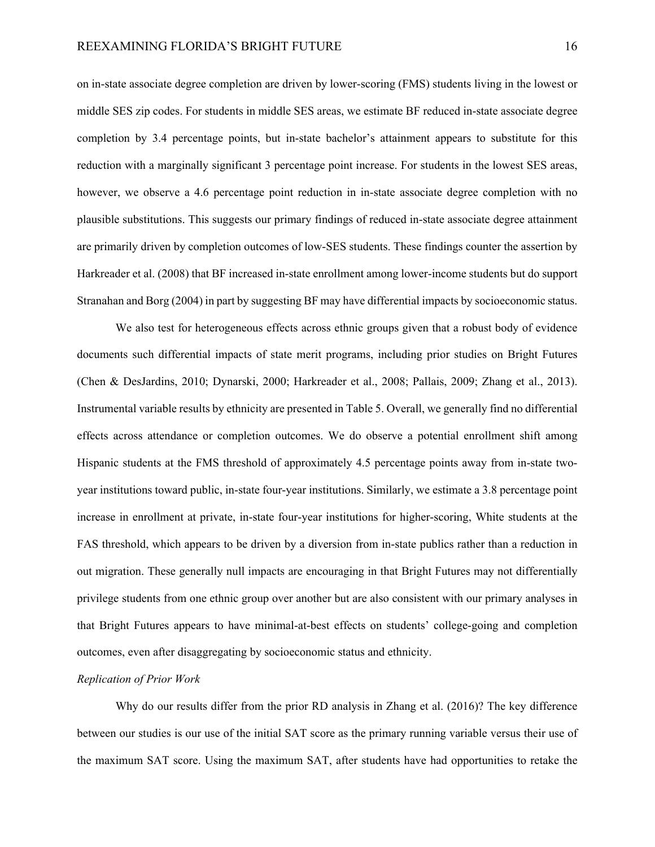on in-state associate degree completion are driven by lower-scoring (FMS) students living in the lowest or middle SES zip codes. For students in middle SES areas, we estimate BF reduced in-state associate degree completion by 3.4 percentage points, but in-state bachelor's attainment appears to substitute for this reduction with a marginally significant 3 percentage point increase. For students in the lowest SES areas, however, we observe a 4.6 percentage point reduction in in-state associate degree completion with no plausible substitutions. This suggests our primary findings of reduced in-state associate degree attainment are primarily driven by completion outcomes of low-SES students. These findings counter the assertion by Harkreader et al. (2008) that BF increased in-state enrollment among lower-income students but do support Stranahan and Borg (2004) in part by suggesting BF may have differential impacts by socioeconomic status.

We also test for heterogeneous effects across ethnic groups given that a robust body of evidence documents such differential impacts of state merit programs, including prior studies on Bright Futures (Chen & DesJardins, 2010; Dynarski, 2000; Harkreader et al., 2008; Pallais, 2009; Zhang et al., 2013). Instrumental variable results by ethnicity are presented in Table 5. Overall, we generally find no differential effects across attendance or completion outcomes. We do observe a potential enrollment shift among Hispanic students at the FMS threshold of approximately 4.5 percentage points away from in-state twoyear institutions toward public, in-state four-year institutions. Similarly, we estimate a 3.8 percentage point increase in enrollment at private, in-state four-year institutions for higher-scoring, White students at the FAS threshold, which appears to be driven by a diversion from in-state publics rather than a reduction in out migration. These generally null impacts are encouraging in that Bright Futures may not differentially privilege students from one ethnic group over another but are also consistent with our primary analyses in that Bright Futures appears to have minimal-at-best effects on students' college-going and completion outcomes, even after disaggregating by socioeconomic status and ethnicity.

#### *Replication of Prior Work*

Why do our results differ from the prior RD analysis in Zhang et al. (2016)? The key difference between our studies is our use of the initial SAT score as the primary running variable versus their use of the maximum SAT score. Using the maximum SAT, after students have had opportunities to retake the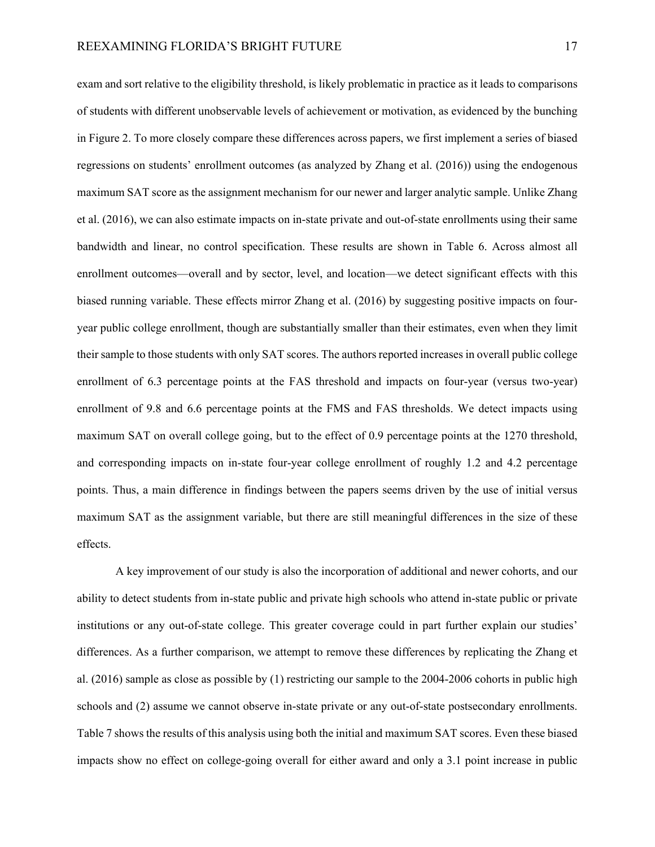exam and sort relative to the eligibility threshold, is likely problematic in practice as it leads to comparisons of students with different unobservable levels of achievement or motivation, as evidenced by the bunching in Figure 2. To more closely compare these differences across papers, we first implement a series of biased regressions on students' enrollment outcomes (as analyzed by Zhang et al. (2016)) using the endogenous maximum SAT score as the assignment mechanism for our newer and larger analytic sample. Unlike Zhang et al. (2016), we can also estimate impacts on in-state private and out-of-state enrollments using their same bandwidth and linear, no control specification. These results are shown in Table 6. Across almost all enrollment outcomes—overall and by sector, level, and location—we detect significant effects with this biased running variable. These effects mirror Zhang et al. (2016) by suggesting positive impacts on fouryear public college enrollment, though are substantially smaller than their estimates, even when they limit their sample to those students with only SAT scores. The authors reported increases in overall public college enrollment of 6.3 percentage points at the FAS threshold and impacts on four-year (versus two-year) enrollment of 9.8 and 6.6 percentage points at the FMS and FAS thresholds. We detect impacts using maximum SAT on overall college going, but to the effect of 0.9 percentage points at the 1270 threshold, and corresponding impacts on in-state four-year college enrollment of roughly 1.2 and 4.2 percentage points. Thus, a main difference in findings between the papers seems driven by the use of initial versus maximum SAT as the assignment variable, but there are still meaningful differences in the size of these effects.

A key improvement of our study is also the incorporation of additional and newer cohorts, and our ability to detect students from in-state public and private high schools who attend in-state public or private institutions or any out-of-state college. This greater coverage could in part further explain our studies' differences. As a further comparison, we attempt to remove these differences by replicating the Zhang et al. (2016) sample as close as possible by (1) restricting our sample to the 2004-2006 cohorts in public high schools and (2) assume we cannot observe in-state private or any out-of-state postsecondary enrollments. Table 7 shows the results of this analysis using both the initial and maximum SAT scores. Even these biased impacts show no effect on college-going overall for either award and only a 3.1 point increase in public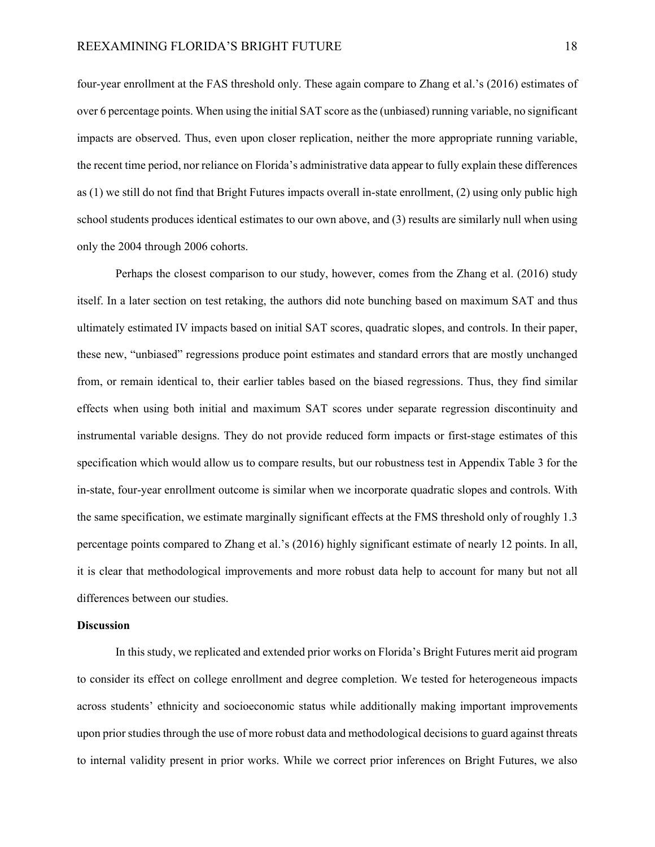four-year enrollment at the FAS threshold only. These again compare to Zhang et al.'s (2016) estimates of over 6 percentage points. When using the initial SAT score as the (unbiased) running variable, no significant impacts are observed. Thus, even upon closer replication, neither the more appropriate running variable, the recent time period, nor reliance on Florida's administrative data appear to fully explain these differences as (1) we still do not find that Bright Futures impacts overall in-state enrollment, (2) using only public high school students produces identical estimates to our own above, and (3) results are similarly null when using only the 2004 through 2006 cohorts.

Perhaps the closest comparison to our study, however, comes from the Zhang et al. (2016) study itself. In a later section on test retaking, the authors did note bunching based on maximum SAT and thus ultimately estimated IV impacts based on initial SAT scores, quadratic slopes, and controls. In their paper, these new, "unbiased" regressions produce point estimates and standard errors that are mostly unchanged from, or remain identical to, their earlier tables based on the biased regressions. Thus, they find similar effects when using both initial and maximum SAT scores under separate regression discontinuity and instrumental variable designs. They do not provide reduced form impacts or first-stage estimates of this specification which would allow us to compare results, but our robustness test in Appendix Table 3 for the in-state, four-year enrollment outcome is similar when we incorporate quadratic slopes and controls. With the same specification, we estimate marginally significant effects at the FMS threshold only of roughly 1.3 percentage points compared to Zhang et al.'s (2016) highly significant estimate of nearly 12 points. In all, it is clear that methodological improvements and more robust data help to account for many but not all differences between our studies.

#### **Discussion**

In this study, we replicated and extended prior works on Florida's Bright Futures merit aid program to consider its effect on college enrollment and degree completion. We tested for heterogeneous impacts across students' ethnicity and socioeconomic status while additionally making important improvements upon prior studies through the use of more robust data and methodological decisions to guard against threats to internal validity present in prior works. While we correct prior inferences on Bright Futures, we also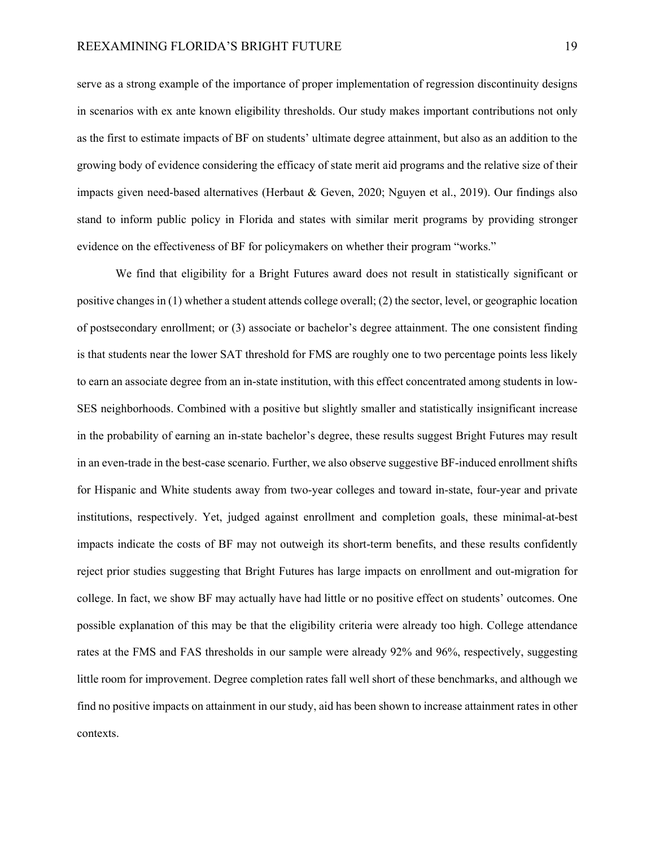serve as a strong example of the importance of proper implementation of regression discontinuity designs in scenarios with ex ante known eligibility thresholds. Our study makes important contributions not only as the first to estimate impacts of BF on students' ultimate degree attainment, but also as an addition to the growing body of evidence considering the efficacy of state merit aid programs and the relative size of their impacts given need-based alternatives (Herbaut & Geven, 2020; Nguyen et al., 2019). Our findings also stand to inform public policy in Florida and states with similar merit programs by providing stronger evidence on the effectiveness of BF for policymakers on whether their program "works."

We find that eligibility for a Bright Futures award does not result in statistically significant or positive changes in (1) whether a student attends college overall; (2) the sector, level, or geographic location of postsecondary enrollment; or (3) associate or bachelor's degree attainment. The one consistent finding is that students near the lower SAT threshold for FMS are roughly one to two percentage points less likely to earn an associate degree from an in-state institution, with this effect concentrated among students in low-SES neighborhoods. Combined with a positive but slightly smaller and statistically insignificant increase in the probability of earning an in-state bachelor's degree, these results suggest Bright Futures may result in an even-trade in the best-case scenario. Further, we also observe suggestive BF-induced enrollment shifts for Hispanic and White students away from two-year colleges and toward in-state, four-year and private institutions, respectively. Yet, judged against enrollment and completion goals, these minimal-at-best impacts indicate the costs of BF may not outweigh its short-term benefits, and these results confidently reject prior studies suggesting that Bright Futures has large impacts on enrollment and out-migration for college. In fact, we show BF may actually have had little or no positive effect on students' outcomes. One possible explanation of this may be that the eligibility criteria were already too high. College attendance rates at the FMS and FAS thresholds in our sample were already 92% and 96%, respectively, suggesting little room for improvement. Degree completion rates fall well short of these benchmarks, and although we find no positive impacts on attainment in our study, aid has been shown to increase attainment rates in other contexts.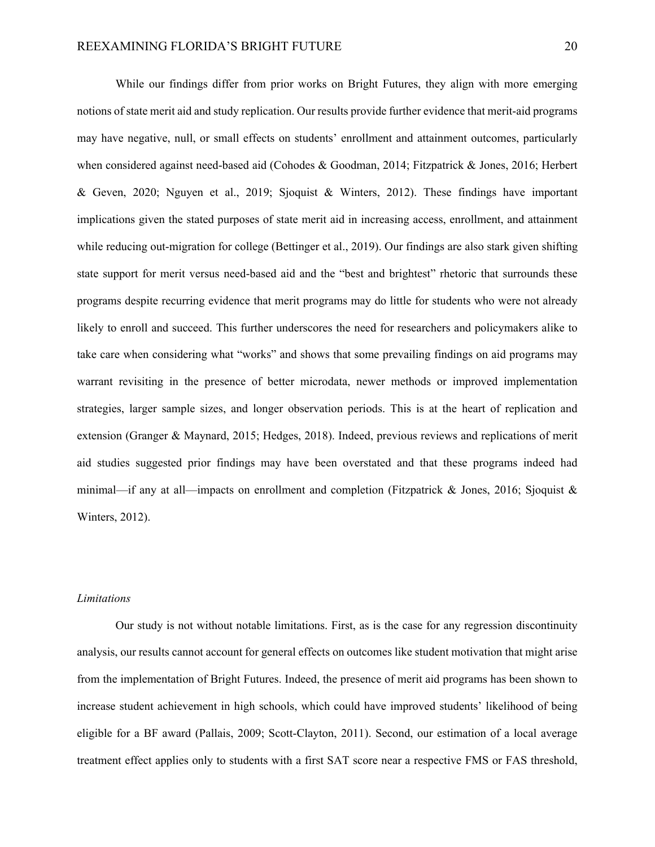While our findings differ from prior works on Bright Futures, they align with more emerging notions of state merit aid and study replication. Our results provide further evidence that merit-aid programs may have negative, null, or small effects on students' enrollment and attainment outcomes, particularly when considered against need-based aid (Cohodes & Goodman, 2014; Fitzpatrick & Jones, 2016; Herbert & Geven, 2020; Nguyen et al., 2019; Sjoquist & Winters, 2012). These findings have important implications given the stated purposes of state merit aid in increasing access, enrollment, and attainment while reducing out-migration for college (Bettinger et al., 2019). Our findings are also stark given shifting state support for merit versus need-based aid and the "best and brightest" rhetoric that surrounds these programs despite recurring evidence that merit programs may do little for students who were not already likely to enroll and succeed. This further underscores the need for researchers and policymakers alike to take care when considering what "works" and shows that some prevailing findings on aid programs may warrant revisiting in the presence of better microdata, newer methods or improved implementation strategies, larger sample sizes, and longer observation periods. This is at the heart of replication and extension (Granger & Maynard, 2015; Hedges, 2018). Indeed, previous reviews and replications of merit aid studies suggested prior findings may have been overstated and that these programs indeed had minimal—if any at all—impacts on enrollment and completion (Fitzpatrick & Jones, 2016; Sjoquist & Winters, 2012).

#### *Limitations*

Our study is not without notable limitations. First, as is the case for any regression discontinuity analysis, our results cannot account for general effects on outcomes like student motivation that might arise from the implementation of Bright Futures. Indeed, the presence of merit aid programs has been shown to increase student achievement in high schools, which could have improved students' likelihood of being eligible for a BF award (Pallais, 2009; Scott-Clayton, 2011). Second, our estimation of a local average treatment effect applies only to students with a first SAT score near a respective FMS or FAS threshold,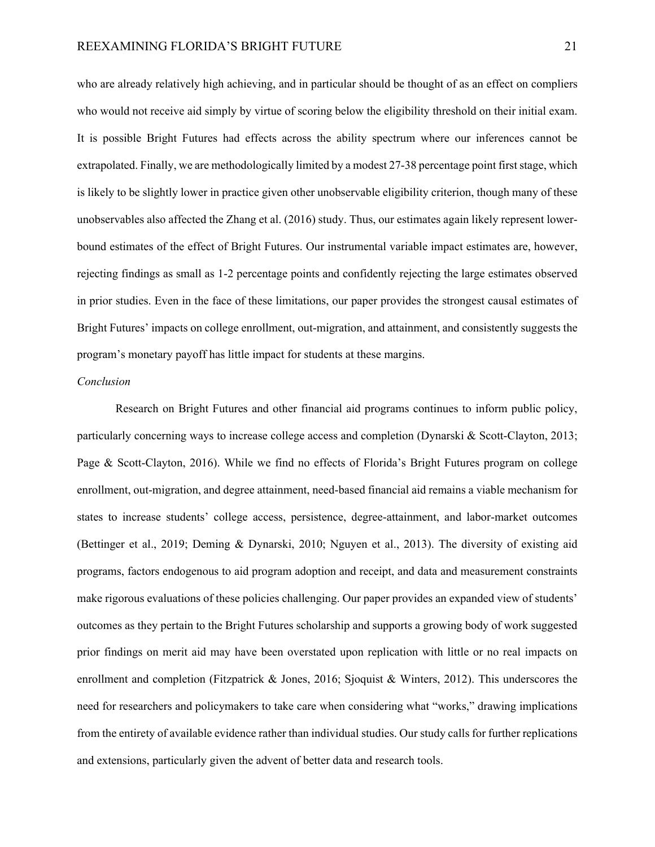who are already relatively high achieving, and in particular should be thought of as an effect on compliers who would not receive aid simply by virtue of scoring below the eligibility threshold on their initial exam. It is possible Bright Futures had effects across the ability spectrum where our inferences cannot be extrapolated. Finally, we are methodologically limited by a modest 27-38 percentage point first stage, which is likely to be slightly lower in practice given other unobservable eligibility criterion, though many of these unobservables also affected the Zhang et al. (2016) study. Thus, our estimates again likely represent lowerbound estimates of the effect of Bright Futures. Our instrumental variable impact estimates are, however, rejecting findings as small as 1-2 percentage points and confidently rejecting the large estimates observed in prior studies. Even in the face of these limitations, our paper provides the strongest causal estimates of Bright Futures' impacts on college enrollment, out-migration, and attainment, and consistently suggests the program's monetary payoff has little impact for students at these margins.

#### *Conclusion*

Research on Bright Futures and other financial aid programs continues to inform public policy, particularly concerning ways to increase college access and completion (Dynarski & Scott-Clayton, 2013; Page & Scott-Clayton, 2016). While we find no effects of Florida's Bright Futures program on college enrollment, out-migration, and degree attainment, need-based financial aid remains a viable mechanism for states to increase students' college access, persistence, degree-attainment, and labor-market outcomes (Bettinger et al., 2019; Deming & Dynarski, 2010; Nguyen et al., 2013). The diversity of existing aid programs, factors endogenous to aid program adoption and receipt, and data and measurement constraints make rigorous evaluations of these policies challenging. Our paper provides an expanded view of students' outcomes as they pertain to the Bright Futures scholarship and supports a growing body of work suggested prior findings on merit aid may have been overstated upon replication with little or no real impacts on enrollment and completion (Fitzpatrick & Jones, 2016; Sjoquist & Winters, 2012). This underscores the need for researchers and policymakers to take care when considering what "works," drawing implications from the entirety of available evidence rather than individual studies. Our study calls for further replications and extensions, particularly given the advent of better data and research tools.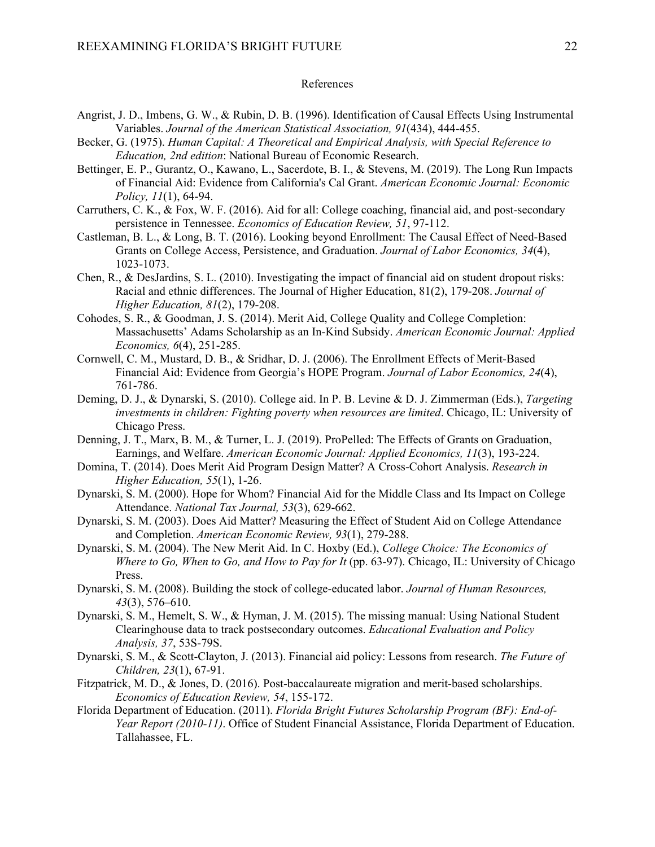#### References

- Angrist, J. D., Imbens, G. W., & Rubin, D. B. (1996). Identification of Causal Effects Using Instrumental Variables. *Journal of the American Statistical Association, 91*(434), 444-455.
- Becker, G. (1975). *Human Capital: A Theoretical and Empirical Analysis, with Special Reference to Education, 2nd edition*: National Bureau of Economic Research.
- Bettinger, E. P., Gurantz, O., Kawano, L., Sacerdote, B. I., & Stevens, M. (2019). The Long Run Impacts of Financial Aid: Evidence from California's Cal Grant. *American Economic Journal: Economic Policy, 11*(1), 64-94.
- Carruthers, C. K., & Fox, W. F. (2016). Aid for all: College coaching, financial aid, and post-secondary persistence in Tennessee. *Economics of Education Review, 51*, 97-112.
- Castleman, B. L., & Long, B. T. (2016). Looking beyond Enrollment: The Causal Effect of Need-Based Grants on College Access, Persistence, and Graduation. *Journal of Labor Economics, 34*(4), 1023-1073.
- Chen, R., & DesJardins, S. L. (2010). Investigating the impact of financial aid on student dropout risks: Racial and ethnic differences. The Journal of Higher Education, 81(2), 179-208. *Journal of Higher Education, 81*(2), 179-208.
- Cohodes, S. R., & Goodman, J. S. (2014). Merit Aid, College Quality and College Completion: Massachusetts' Adams Scholarship as an In-Kind Subsidy. *American Economic Journal: Applied Economics, 6*(4), 251-285.
- Cornwell, C. M., Mustard, D. B., & Sridhar, D. J. (2006). The Enrollment Effects of Merit‐Based Financial Aid: Evidence from Georgia's HOPE Program. *Journal of Labor Economics, 24*(4), 761-786.
- Deming, D. J., & Dynarski, S. (2010). College aid. In P. B. Levine & D. J. Zimmerman (Eds.), *Targeting investments in children: Fighting poverty when resources are limited*. Chicago, IL: University of Chicago Press.
- Denning, J. T., Marx, B. M., & Turner, L. J. (2019). ProPelled: The Effects of Grants on Graduation, Earnings, and Welfare. *American Economic Journal: Applied Economics, 11*(3), 193-224.
- Domina, T. (2014). Does Merit Aid Program Design Matter? A Cross-Cohort Analysis. *Research in Higher Education, 55*(1), 1-26.
- Dynarski, S. M. (2000). Hope for Whom? Financial Aid for the Middle Class and Its Impact on College Attendance. *National Tax Journal, 53*(3), 629-662.
- Dynarski, S. M. (2003). Does Aid Matter? Measuring the Effect of Student Aid on College Attendance and Completion. *American Economic Review, 93*(1), 279-288.
- Dynarski, S. M. (2004). The New Merit Aid. In C. Hoxby (Ed.), *College Choice: The Economics of Where to Go, When to Go, and How to Pay for It* (pp. 63-97). Chicago, IL: University of Chicago Press.
- Dynarski, S. M. (2008). Building the stock of college-educated labor. *Journal of Human Resources, 43*(3), 576–610.
- Dynarski, S. M., Hemelt, S. W., & Hyman, J. M. (2015). The missing manual: Using National Student Clearinghouse data to track postsecondary outcomes. *Educational Evaluation and Policy Analysis, 37*, 53S-79S.
- Dynarski, S. M., & Scott-Clayton, J. (2013). Financial aid policy: Lessons from research. *The Future of Children, 23*(1), 67-91.
- Fitzpatrick, M. D., & Jones, D. (2016). Post-baccalaureate migration and merit-based scholarships. *Economics of Education Review, 54*, 155-172.
- Florida Department of Education. (2011). *Florida Bright Futures Scholarship Program (BF): End-of-Year Report (2010-11)*. Office of Student Financial Assistance, Florida Department of Education. Tallahassee, FL.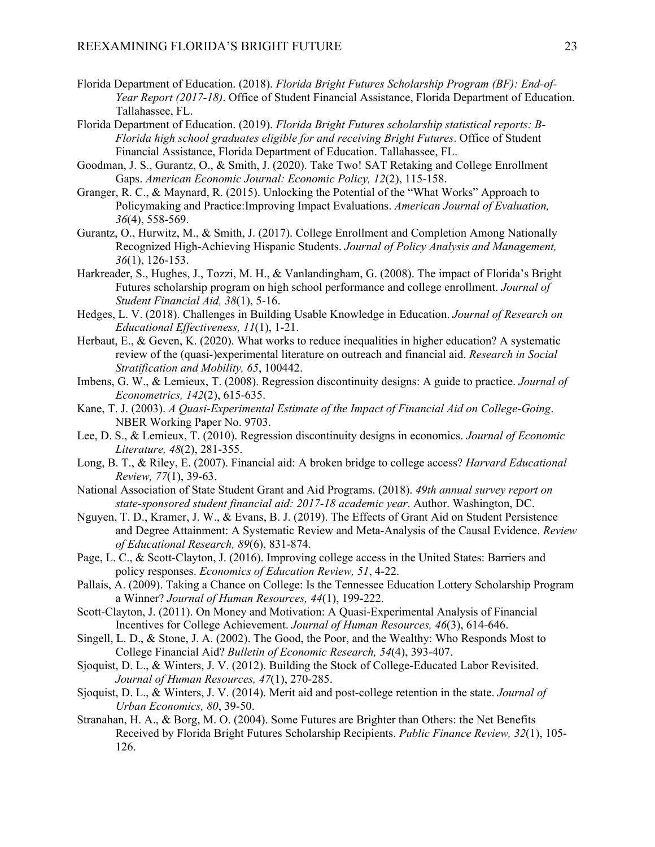- Florida Department of Education. (2018). *Florida Bright Futures Scholarship Program (BF): End-of-Year Report (2017-18)*. Office of Student Financial Assistance, Florida Department of Education. Tallahassee, FL.
- Florida Department of Education. (2019). *Florida Bright Futures scholarship statistical reports: B-Florida high school graduates eligible for and receiving Bright Futures*. Office of Student Financial Assistance, Florida Department of Education. Tallahassee, FL.
- Goodman, J. S., Gurantz, O., & Smith, J. (2020). Take Two! SAT Retaking and College Enrollment Gaps. *American Economic Journal: Economic Policy, 12*(2), 115-158.
- Granger, R. C., & Maynard, R. (2015). Unlocking the Potential of the "What Works" Approach to Policymaking and Practice:Improving Impact Evaluations. *American Journal of Evaluation, 36*(4), 558-569.
- Gurantz, O., Hurwitz, M., & Smith, J. (2017). College Enrollment and Completion Among Nationally Recognized High-Achieving Hispanic Students. *Journal of Policy Analysis and Management, 36*(1), 126-153.
- Harkreader, S., Hughes, J., Tozzi, M. H., & Vanlandingham, G. (2008). The impact of Florida's Bright Futures scholarship program on high school performance and college enrollment. *Journal of Student Financial Aid, 38*(1), 5-16.
- Hedges, L. V. (2018). Challenges in Building Usable Knowledge in Education. *Journal of Research on Educational Effectiveness, 11*(1), 1-21.
- Herbaut, E., & Geven, K. (2020). What works to reduce inequalities in higher education? A systematic review of the (quasi-)experimental literature on outreach and financial aid. *Research in Social Stratification and Mobility, 65*, 100442.
- Imbens, G. W., & Lemieux, T. (2008). Regression discontinuity designs: A guide to practice. *Journal of Econometrics, 142*(2), 615-635.
- Kane, T. J. (2003). *A Quasi-Experimental Estimate of the Impact of Financial Aid on College-Going*. NBER Working Paper No. 9703.
- Lee, D. S., & Lemieux, T. (2010). Regression discontinuity designs in economics. *Journal of Economic Literature, 48*(2), 281-355.
- Long, B. T., & Riley, E. (2007). Financial aid: A broken bridge to college access? *Harvard Educational Review, 77*(1), 39-63.
- National Association of State Student Grant and Aid Programs. (2018). *49th annual survey report on state-sponsored student financial aid: 2017-18 academic year*. Author. Washington, DC.
- Nguyen, T. D., Kramer, J. W., & Evans, B. J. (2019). The Effects of Grant Aid on Student Persistence and Degree Attainment: A Systematic Review and Meta-Analysis of the Causal Evidence. *Review of Educational Research, 89*(6), 831-874.
- Page, L. C., & Scott-Clayton, J. (2016). Improving college access in the United States: Barriers and policy responses. *Economics of Education Review, 51*, 4-22.
- Pallais, A. (2009). Taking a Chance on College: Is the Tennessee Education Lottery Scholarship Program a Winner? *Journal of Human Resources, 44*(1), 199-222.
- Scott-Clayton, J. (2011). On Money and Motivation: A Quasi-Experimental Analysis of Financial Incentives for College Achievement. *Journal of Human Resources, 46*(3), 614-646.
- Singell, L. D., & Stone, J. A. (2002). The Good, the Poor, and the Wealthy: Who Responds Most to College Financial Aid? *Bulletin of Economic Research, 54*(4), 393-407.
- Sjoquist, D. L., & Winters, J. V. (2012). Building the Stock of College-Educated Labor Revisited. *Journal of Human Resources, 47*(1), 270-285.
- Sjoquist, D. L., & Winters, J. V. (2014). Merit aid and post-college retention in the state. *Journal of Urban Economics, 80*, 39-50.
- Stranahan, H. A., & Borg, M. O. (2004). Some Futures are Brighter than Others: the Net Benefits Received by Florida Bright Futures Scholarship Recipients. *Public Finance Review, 32*(1), 105- 126.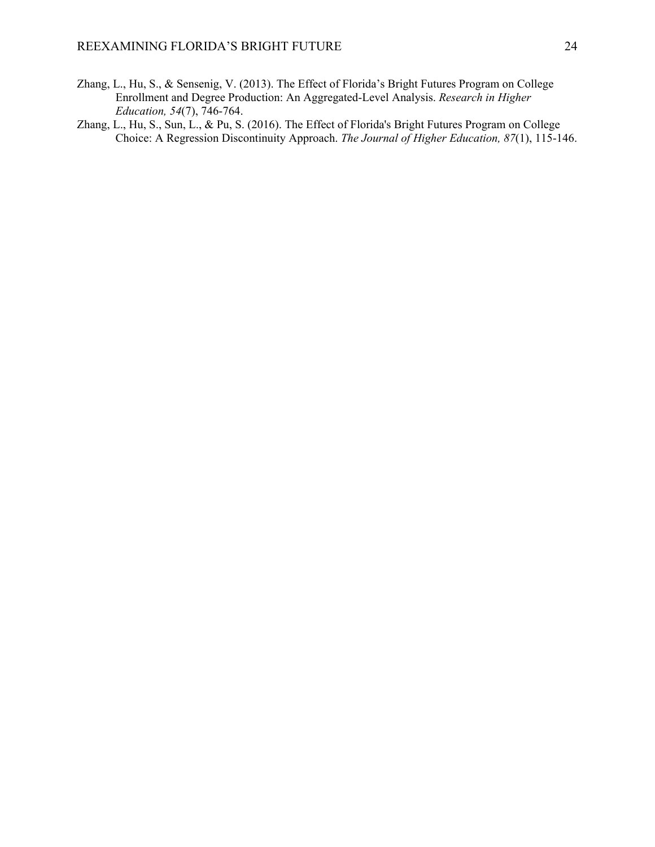- Zhang, L., Hu, S., & Sensenig, V. (2013). The Effect of Florida's Bright Futures Program on College Enrollment and Degree Production: An Aggregated-Level Analysis. *Research in Higher Education, 54*(7), 746-764.
- Zhang, L., Hu, S., Sun, L., & Pu, S. (2016). The Effect of Florida's Bright Futures Program on College Choice: A Regression Discontinuity Approach. *The Journal of Higher Education, 87*(1), 115-146.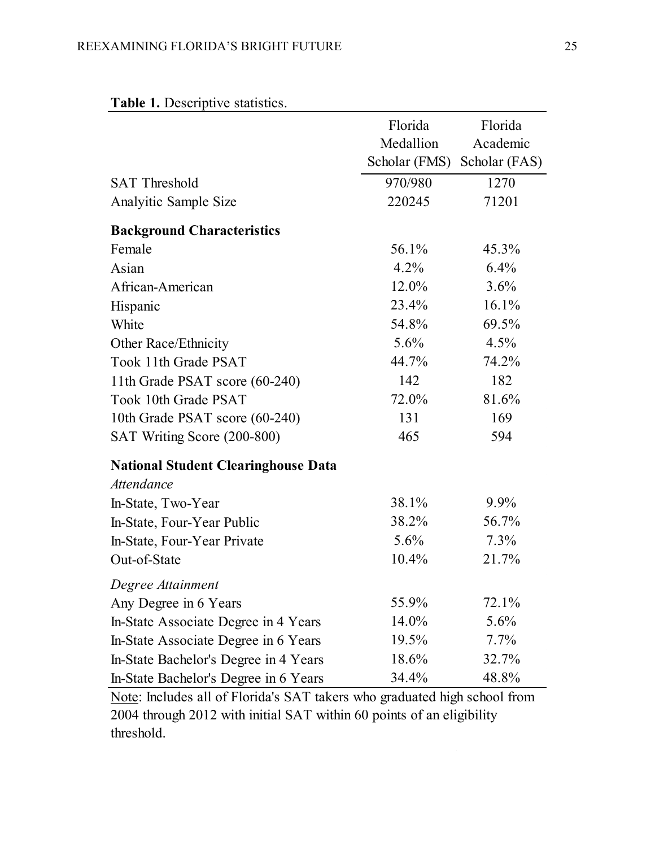|                                            | Florida<br>Medallion | Florida<br>Academic |
|--------------------------------------------|----------------------|---------------------|
|                                            | Scholar (FMS)        | Scholar (FAS)       |
| <b>SAT Threshold</b>                       | 970/980              | 1270                |
| Analyitic Sample Size                      | 220245               | 71201               |
| <b>Background Characteristics</b>          |                      |                     |
| Female                                     | 56.1%                | 45.3%               |
| Asian                                      | $4.2\%$              | 6.4%                |
| African-American                           | 12.0%                | 3.6%                |
| Hispanic                                   | 23.4%                | 16.1%               |
| White                                      | 54.8%                | 69.5%               |
| Other Race/Ethnicity                       | $5.6\%$              | 4.5%                |
| Took 11th Grade PSAT                       | 44.7%                | 74.2%               |
| 11th Grade PSAT score (60-240)             | 142                  | 182                 |
| Took 10th Grade PSAT                       | 72.0%                | 81.6%               |
| 10th Grade PSAT score (60-240)             | 131                  | 169                 |
| SAT Writing Score (200-800)                | 465                  | 594                 |
| <b>National Student Clearinghouse Data</b> |                      |                     |
| <b>Attendance</b>                          |                      |                     |
| In-State, Two-Year                         | 38.1%                | $9.9\%$             |
| In-State, Four-Year Public                 | 38.2%                | 56.7%               |
| In-State, Four-Year Private                | $5.6\%$              | 7.3%                |
| Out-of-State                               | $10.4\%$             | 21.7%               |
| Degree Attainment                          |                      |                     |
| Any Degree in 6 Years                      | 55.9%                | 72.1%               |
| In-State Associate Degree in 4 Years       | 14.0%                | 5.6%                |
| In-State Associate Degree in 6 Years       | 19.5%                | $7.7\%$             |
| In-State Bachelor's Degree in 4 Years      | 18.6%                | 32.7%               |
| In-State Bachelor's Degree in 6 Years      | 34.4%                | 48.8%               |

## **Table 1.** Descriptive statistics.

Note: Includes all of Florida's SAT takers who graduated high school from 2004 through 2012 with initial SAT within 60 points of an eligibility threshold.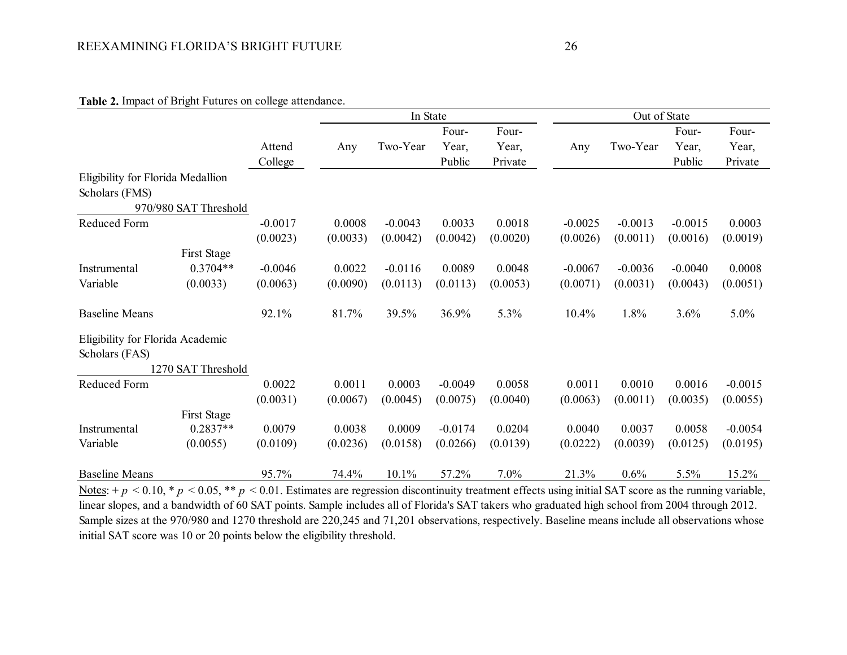### **Table 2.** Impact of Bright Futures on college attendance.

|                                   |                       |           | In State |           |           |          |           | Out of State |           |           |
|-----------------------------------|-----------------------|-----------|----------|-----------|-----------|----------|-----------|--------------|-----------|-----------|
|                                   |                       |           |          |           | Four-     | Four-    |           |              | Four-     | Four-     |
|                                   |                       | Attend    | Any      | Two-Year  | Year,     | Year,    | Any       | Two-Year     | Year,     | Year,     |
|                                   |                       | College   |          |           | Public    | Private  |           |              | Public    | Private   |
| Eligibility for Florida Medallion |                       |           |          |           |           |          |           |              |           |           |
| Scholars (FMS)                    |                       |           |          |           |           |          |           |              |           |           |
|                                   | 970/980 SAT Threshold |           |          |           |           |          |           |              |           |           |
| Reduced Form                      |                       | $-0.0017$ | 0.0008   | $-0.0043$ | 0.0033    | 0.0018   | $-0.0025$ | $-0.0013$    | $-0.0015$ | 0.0003    |
|                                   |                       | (0.0023)  | (0.0033) | (0.0042)  | (0.0042)  | (0.0020) | (0.0026)  | (0.0011)     | (0.0016)  | (0.0019)  |
|                                   | First Stage           |           |          |           |           |          |           |              |           |           |
| Instrumental                      | $0.3704**$            | $-0.0046$ | 0.0022   | $-0.0116$ | 0.0089    | 0.0048   | $-0.0067$ | $-0.0036$    | $-0.0040$ | 0.0008    |
| Variable                          | (0.0033)              | (0.0063)  | (0.0090) | (0.0113)  | (0.0113)  | (0.0053) | (0.0071)  | (0.0031)     | (0.0043)  | (0.0051)  |
| <b>Baseline Means</b>             |                       | 92.1%     | 81.7%    | 39.5%     | 36.9%     | 5.3%     | 10.4%     | 1.8%         | 3.6%      | 5.0%      |
| Eligibility for Florida Academic  |                       |           |          |           |           |          |           |              |           |           |
| Scholars (FAS)                    |                       |           |          |           |           |          |           |              |           |           |
|                                   | 1270 SAT Threshold    |           |          |           |           |          |           |              |           |           |
| Reduced Form                      |                       | 0.0022    | 0.0011   | 0.0003    | $-0.0049$ | 0.0058   | 0.0011    | 0.0010       | 0.0016    | $-0.0015$ |
|                                   |                       | (0.0031)  | (0.0067) | (0.0045)  | (0.0075)  | (0.0040) | (0.0063)  | (0.0011)     | (0.0035)  | (0.0055)  |
|                                   | First Stage           |           |          |           |           |          |           |              |           |           |
| Instrumental                      | $0.2837**$            | 0.0079    | 0.0038   | 0.0009    | $-0.0174$ | 0.0204   | 0.0040    | 0.0037       | 0.0058    | $-0.0054$ |
| Variable                          | (0.0055)              | (0.0109)  | (0.0236) | (0.0158)  | (0.0266)  | (0.0139) | (0.0222)  | (0.0039)     | (0.0125)  | (0.0195)  |
| <b>Baseline Means</b>             |                       | 95.7%     | 74.4%    | 10.1%     | 57.2%     | 7.0%     | 21.3%     | 0.6%         | 5.5%      | 15.2%     |

Notes:  $+p < 0.10$ ,  $\ast p < 0.05$ ,  $\ast \ast p < 0.01$ . Estimates are regression discontinuity treatment effects using initial SAT score as the running variable, linear slopes, and a bandwidth of 60 SAT points. Sample includes all of Florida's SAT takers who graduated high school from 2004 through 2012. Sample sizes at the 970/980 and 1270 threshold are 220,245 and 71,201 observations, respectively. Baseline means include all observations whose initial SAT score was 10 or 20 points below the eligibility threshold.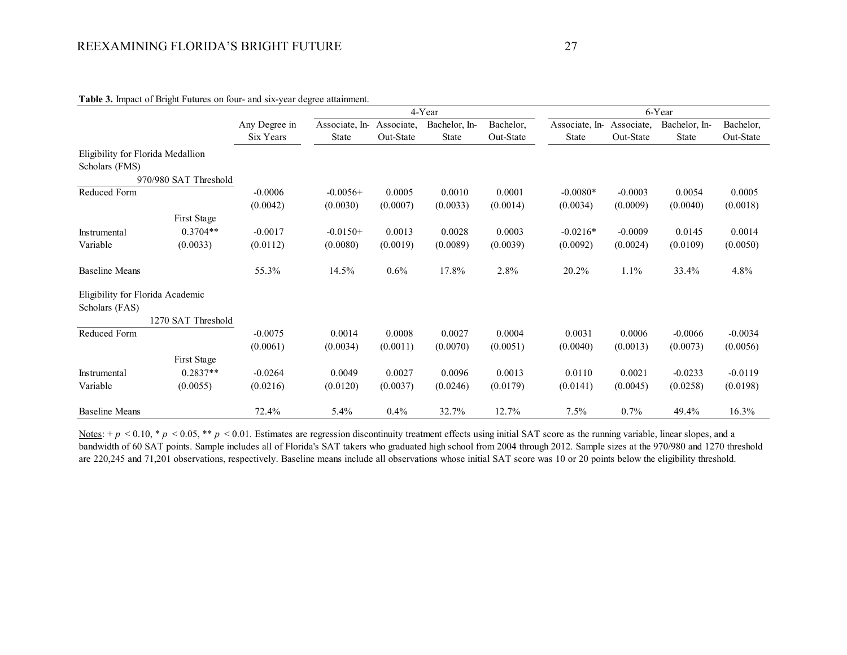|                                                     |                       |               |                |            | 4-Year        |           |                |            | 6-Year        |           |
|-----------------------------------------------------|-----------------------|---------------|----------------|------------|---------------|-----------|----------------|------------|---------------|-----------|
|                                                     |                       | Any Degree in | Associate, In- | Associate, | Bachelor, In- | Bachelor, | Associate, In- | Associate, | Bachelor, In- | Bachelor, |
|                                                     |                       | Six Years     | <b>State</b>   | Out-State  | <b>State</b>  | Out-State | <b>State</b>   | Out-State  | <b>State</b>  | Out-State |
| Eligibility for Florida Medallion<br>Scholars (FMS) |                       |               |                |            |               |           |                |            |               |           |
|                                                     | 970/980 SAT Threshold |               |                |            |               |           |                |            |               |           |
| Reduced Form                                        |                       | $-0.0006$     | $-0.0056+$     | 0.0005     | 0.0010        | 0.0001    | $-0.0080*$     | $-0.0003$  | 0.0054        | 0.0005    |
|                                                     |                       | (0.0042)      | (0.0030)       | (0.0007)   | (0.0033)      | (0.0014)  | (0.0034)       | (0.0009)   | (0.0040)      | (0.0018)  |
|                                                     | First Stage           |               |                |            |               |           |                |            |               |           |
| Instrumental                                        | $0.3704**$            | $-0.0017$     | $-0.0150+$     | 0.0013     | 0.0028        | 0.0003    | $-0.0216*$     | $-0.0009$  | 0.0145        | 0.0014    |
| Variable                                            | (0.0033)              | (0.0112)      | (0.0080)       | (0.0019)   | (0.0089)      | (0.0039)  | (0.0092)       | (0.0024)   | (0.0109)      | (0.0050)  |
| <b>Baseline Means</b>                               |                       | 55.3%         | 14.5%          | $0.6\%$    | 17.8%         | 2.8%      | 20.2%          | $1.1\%$    | 33.4%         | 4.8%      |
| Eligibility for Florida Academic                    |                       |               |                |            |               |           |                |            |               |           |
| Scholars (FAS)                                      |                       |               |                |            |               |           |                |            |               |           |
|                                                     | 1270 SAT Threshold    |               |                |            |               |           |                |            |               |           |
| Reduced Form                                        |                       | $-0.0075$     | 0.0014         | 0.0008     | 0.0027        | 0.0004    | 0.0031         | 0.0006     | $-0.0066$     | $-0.0034$ |
|                                                     |                       | (0.0061)      | (0.0034)       | (0.0011)   | (0.0070)      | (0.0051)  | (0.0040)       | (0.0013)   | (0.0073)      | (0.0056)  |
|                                                     | First Stage           |               |                |            |               |           |                |            |               |           |
| Instrumental                                        | $0.2837**$            | $-0.0264$     | 0.0049         | 0.0027     | 0.0096        | 0.0013    | 0.0110         | 0.0021     | $-0.0233$     | $-0.0119$ |
| Variable                                            | (0.0055)              | (0.0216)      | (0.0120)       | (0.0037)   | (0.0246)      | (0.0179)  | (0.0141)       | (0.0045)   | (0.0258)      | (0.0198)  |
| <b>Baseline Means</b>                               |                       | 72.4%         | 5.4%           | 0.4%       | 32.7%         | 12.7%     | 7.5%           | 0.7%       | 49.4%         | 16.3%     |

#### **Table 3.** Impact of Bright Futures on four- and six-year degree attainment.

Notes:  $+p < 0.10$ , \*  $p < 0.05$ , \*\*  $p < 0.01$ . Estimates are regression discontinuity treatment effects using initial SAT score as the running variable, linear slopes, and a bandwidth of 60 SAT points. Sample includes all of Florida's SAT takers who graduated high school from 2004 through 2012. Sample sizes at the 970/980 and 1270 threshold are 220,245 and 71,201 observations, respectively. Baseline means include all observations whose initial SAT score was 10 or 20 points below the eligibility threshold.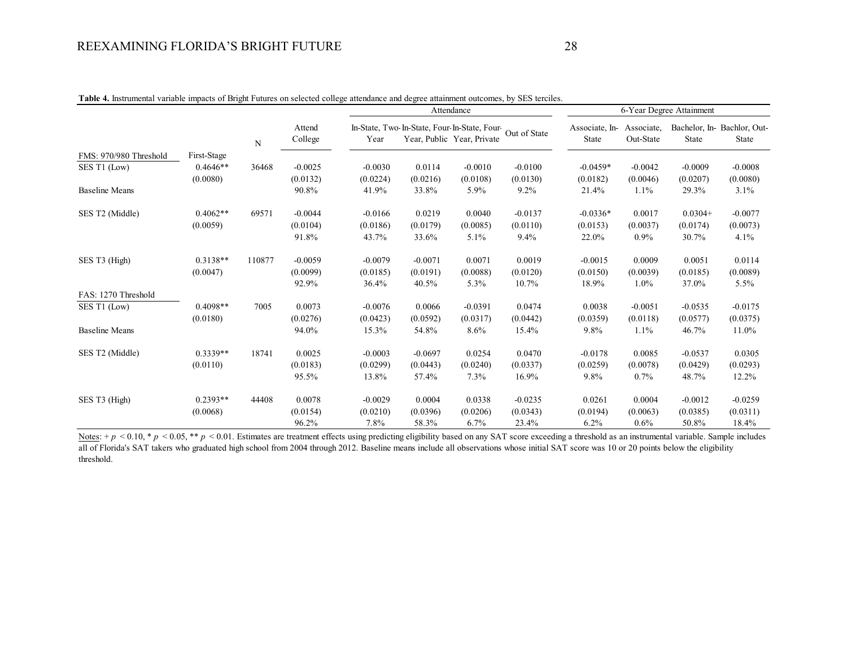|                        |             |        |                   |           |                                                          | Attendance                 |           |                         |                         | 6-Year Degree Attainment |                                     |
|------------------------|-------------|--------|-------------------|-----------|----------------------------------------------------------|----------------------------|-----------|-------------------------|-------------------------|--------------------------|-------------------------------------|
|                        |             | N      | Attend<br>College | Year      | In-State, Two-In-State, Four-In-State, Four-Out of State | Year, Public Year, Private |           | Associate, In-<br>State | Associate,<br>Out-State | State                    | Bachelor, In-Bachlor, Out-<br>State |
| FMS: 970/980 Threshold | First-Stage |        |                   |           |                                                          |                            |           |                         |                         |                          |                                     |
| SES T1 (Low)           | $0.4646**$  | 36468  | $-0.0025$         | $-0.0030$ | 0.0114                                                   | $-0.0010$                  | $-0.0100$ | $-0.0459*$              | $-0.0042$               | $-0.0009$                | $-0.0008$                           |
|                        | (0.0080)    |        | (0.0132)          | (0.0224)  | (0.0216)                                                 | (0.0108)                   | (0.0130)  | (0.0182)                | (0.0046)                | (0.0207)                 | (0.0080)                            |
| <b>Baseline Means</b>  |             |        | 90.8%             | 41.9%     | 33.8%                                                    | 5.9%                       | $9.2\%$   | 21.4%                   | 1.1%                    | 29.3%                    | 3.1%                                |
| SES T2 (Middle)        | $0.4062**$  | 69571  | $-0.0044$         | $-0.0166$ | 0.0219                                                   | 0.0040                     | $-0.0137$ | $-0.0336*$              | 0.0017                  | $0.0304+$                | $-0.0077$                           |
|                        | (0.0059)    |        | (0.0104)          | (0.0186)  | (0.0179)                                                 | (0.0085)                   | (0.0110)  | (0.0153)                | (0.0037)                | (0.0174)                 | (0.0073)                            |
|                        |             |        | 91.8%             | 43.7%     | 33.6%                                                    | 5.1%                       | $9.4\%$   | 22.0%                   | $0.9\%$                 | 30.7%                    | 4.1%                                |
| SES T3 (High)          | $0.3138**$  | 110877 | $-0.0059$         | $-0.0079$ | $-0.0071$                                                | 0.0071                     | 0.0019    | $-0.0015$               | 0.0009                  | 0.0051                   | 0.0114                              |
|                        | (0.0047)    |        | (0.0099)          | (0.0185)  | (0.0191)                                                 | (0.0088)                   | (0.0120)  | (0.0150)                | (0.0039)                | (0.0185)                 | (0.0089)                            |
|                        |             |        | 92.9%             | 36.4%     | 40.5%                                                    | 5.3%                       | 10.7%     | 18.9%                   | 1.0%                    | 37.0%                    | 5.5%                                |
| FAS: 1270 Threshold    |             |        |                   |           |                                                          |                            |           |                         |                         |                          |                                     |
| SES T1 (Low)           | $0.4098**$  | 7005   | 0.0073            | $-0.0076$ | 0.0066                                                   | $-0.0391$                  | 0.0474    | 0.0038                  | $-0.0051$               | $-0.0535$                | $-0.0175$                           |
|                        | (0.0180)    |        | (0.0276)          | (0.0423)  | (0.0592)                                                 | (0.0317)                   | (0.0442)  | (0.0359)                | (0.0118)                | (0.0577)                 | (0.0375)                            |
| <b>Baseline Means</b>  |             |        | 94.0%             | 15.3%     | 54.8%                                                    | 8.6%                       | 15.4%     | 9.8%                    | 1.1%                    | 46.7%                    | 11.0%                               |
| SES T2 (Middle)        | $0.3339**$  | 18741  | 0.0025            | $-0.0003$ | $-0.0697$                                                | 0.0254                     | 0.0470    | $-0.0178$               | 0.0085                  | $-0.0537$                | 0.0305                              |
|                        | (0.0110)    |        | (0.0183)          | (0.0299)  | (0.0443)                                                 | (0.0240)                   | (0.0337)  | (0.0259)                | (0.0078)                | (0.0429)                 | (0.0293)                            |
|                        |             |        | 95.5%             | 13.8%     | 57.4%                                                    | 7.3%                       | 16.9%     | 9.8%                    | 0.7%                    | 48.7%                    | 12.2%                               |
| SES T3 (High)          | $0.2393**$  | 44408  | 0.0078            | $-0.0029$ | 0.0004                                                   | 0.0338                     | $-0.0235$ | 0.0261                  | 0.0004                  | $-0.0012$                | $-0.0259$                           |
|                        | (0.0068)    |        | (0.0154)          | (0.0210)  | (0.0396)                                                 | (0.0206)                   | (0.0343)  | (0.0194)                | (0.0063)                | (0.0385)                 | (0.0311)                            |
|                        |             |        | 96.2%             | 7.8%      | 58.3%                                                    | 6.7%                       | 23.4%     | 6.2%                    | $0.6\%$                 | 50.8%                    | 18.4%                               |

**Table 4.** Instrumental variable impacts of Bright Futures on selected college attendance and degree attainment outcomes, by SES terciles.

Notes: +  $p$  < 0.10, \*  $p$  < 0.05, \*\*  $p$  < 0.01. Estimates are treatment effects using predicting eligibility based on any SAT score exceeding a threshold as an instrumental variable. Sample includes all of Florida's SAT takers who graduated high school from 2004 through 2012. Baseline means include all observations whose initial SAT score was 10 or 20 points below the eligibility threshold.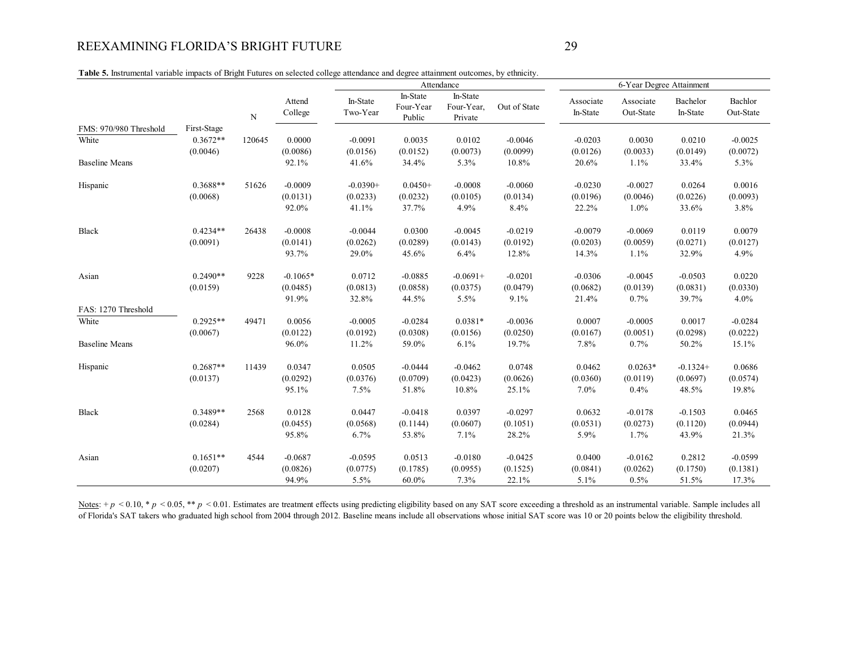**Table 5.** Instrumental variable impacts of Bright Futures on selected college attendance and degree attainment outcomes, by ethnicity.

|                        |             |             |                   | Attendance           |                                 |                                   | 6-Year Degree Attainment |                       |                        |                      |                      |
|------------------------|-------------|-------------|-------------------|----------------------|---------------------------------|-----------------------------------|--------------------------|-----------------------|------------------------|----------------------|----------------------|
|                        |             | $\mathbf N$ | Attend<br>College | In-State<br>Two-Year | In-State<br>Four-Year<br>Public | In-State<br>Four-Year,<br>Private | Out of State             | Associate<br>In-State | Associate<br>Out-State | Bachelor<br>In-State | Bachlor<br>Out-State |
| FMS: 970/980 Threshold | First-Stage |             |                   |                      |                                 |                                   |                          |                       |                        |                      |                      |
| White                  | $0.3672**$  | 120645      | 0.0000            | $-0.0091$            | 0.0035                          | 0.0102                            | $-0.0046$                | $-0.0203$             | 0.0030                 | 0.0210               | $-0.0025$            |
|                        | (0.0046)    |             | (0.0086)          | (0.0156)             | (0.0152)                        | (0.0073)                          | (0.0099)                 | (0.0126)              | (0.0033)               | (0.0149)             | (0.0072)             |
| <b>Baseline Means</b>  |             |             | 92.1%             | 41.6%                | 34.4%                           | 5.3%                              | 10.8%                    | 20.6%                 | 1.1%                   | 33.4%                | 5.3%                 |
| Hispanic               | $0.3688**$  | 51626       | $-0.0009$         | $-0.0390+$           | $0.0450+$                       | $-0.0008$                         | $-0.0060$                | $-0.0230$             | $-0.0027$              | 0.0264               | 0.0016               |
|                        | (0.0068)    |             | (0.0131)          | (0.0233)             | (0.0232)                        | (0.0105)                          | (0.0134)                 | (0.0196)              | (0.0046)               | (0.0226)             | (0.0093)             |
|                        |             |             | 92.0%             | 41.1%                | 37.7%                           | 4.9%                              | 8.4%                     | 22.2%                 | 1.0%                   | 33.6%                | 3.8%                 |
| Black                  | $0.4234**$  | 26438       | $-0.0008$         | $-0.0044$            | 0.0300                          | $-0.0045$                         | $-0.0219$                | $-0.0079$             | $-0.0069$              | 0.0119               | 0.0079               |
|                        | (0.0091)    |             | (0.0141)          | (0.0262)             | (0.0289)                        | (0.0143)                          | (0.0192)                 | (0.0203)              | (0.0059)               | (0.0271)             | (0.0127)             |
|                        |             |             | 93.7%             | 29.0%                | 45.6%                           | 6.4%                              | 12.8%                    | 14.3%                 | 1.1%                   | 32.9%                | 4.9%                 |
| Asian                  | $0.2490**$  | 9228        | $-0.1065*$        | 0.0712               | $-0.0885$                       | $-0.0691+$                        | $-0.0201$                | $-0.0306$             | $-0.0045$              | $-0.0503$            | 0.0220               |
|                        | (0.0159)    |             | (0.0485)          | (0.0813)             | (0.0858)                        | (0.0375)                          | (0.0479)                 | (0.0682)              | (0.0139)               | (0.0831)             | (0.0330)             |
|                        |             |             | 91.9%             | 32.8%                | 44.5%                           | 5.5%                              | 9.1%                     | 21.4%                 | 0.7%                   | 39.7%                | 4.0%                 |
| FAS: 1270 Threshold    |             |             |                   |                      |                                 |                                   |                          |                       |                        |                      |                      |
| White                  | $0.2925**$  | 49471       | 0.0056            | $-0.0005$            | $-0.0284$                       | $0.0381*$                         | $-0.0036$                | 0.0007                | $-0.0005$              | 0.0017               | $-0.0284$            |
|                        | (0.0067)    |             | (0.0122)          | (0.0192)             | (0.0308)                        | (0.0156)                          | (0.0250)                 | (0.0167)              | (0.0051)               | (0.0298)             | (0.0222)             |
| <b>Baseline Means</b>  |             |             | 96.0%             | 11.2%                | 59.0%                           | 6.1%                              | 19.7%                    | 7.8%                  | 0.7%                   | 50.2%                | 15.1%                |
| Hispanic               | $0.2687**$  | 11439       | 0.0347            | 0.0505               | $-0.0444$                       | $-0.0462$                         | 0.0748                   | 0.0462                | $0.0263*$              | $-0.1324+$           | 0.0686               |
|                        | (0.0137)    |             | (0.0292)          | (0.0376)             | (0.0709)                        | (0.0423)                          | (0.0626)                 | (0.0360)              | (0.0119)               | (0.0697)             | (0.0574)             |
|                        |             |             | 95.1%             | 7.5%                 | 51.8%                           | 10.8%                             | 25.1%                    | 7.0%                  | 0.4%                   | 48.5%                | 19.8%                |
| Black                  | $0.3489**$  | 2568        | 0.0128            | 0.0447               | $-0.0418$                       | 0.0397                            | $-0.0297$                | 0.0632                | $-0.0178$              | $-0.1503$            | 0.0465               |
|                        | (0.0284)    |             | (0.0455)          | (0.0568)             | (0.1144)                        | (0.0607)                          | (0.1051)                 | (0.0531)              | (0.0273)               | (0.1120)             | (0.0944)             |
|                        |             |             | 95.8%             | 6.7%                 | 53.8%                           | 7.1%                              | 28.2%                    | 5.9%                  | 1.7%                   | 43.9%                | 21.3%                |
| Asian                  | $0.1651**$  | 4544        | $-0.0687$         | $-0.0595$            | 0.0513                          | $-0.0180$                         | $-0.0425$                | 0.0400                | $-0.0162$              | 0.2812               | $-0.0599$            |
|                        | (0.0207)    |             | (0.0826)          | (0.0775)             | (0.1785)                        | (0.0955)                          | (0.1525)                 | (0.0841)              | (0.0262)               | (0.1750)             | (0.1381)             |
|                        |             |             | 94.9%             | 5.5%                 | 60.0%                           | 7.3%                              | 22.1%                    | 5.1%                  | 0.5%                   | 51.5%                | 17.3%                |

Notes: +  $p$  < 0.10, \*  $p$  < 0.05, \*\*  $p$  < 0.01. Estimates are treatment effects using predicting eligibility based on any SAT score exceeding a threshold as an instrumental variable. Sample includes all of Florida's SAT takers who graduated high school from 2004 through 2012. Baseline means include all observations whose initial SAT score was 10 or 20 points below the eligibility threshold.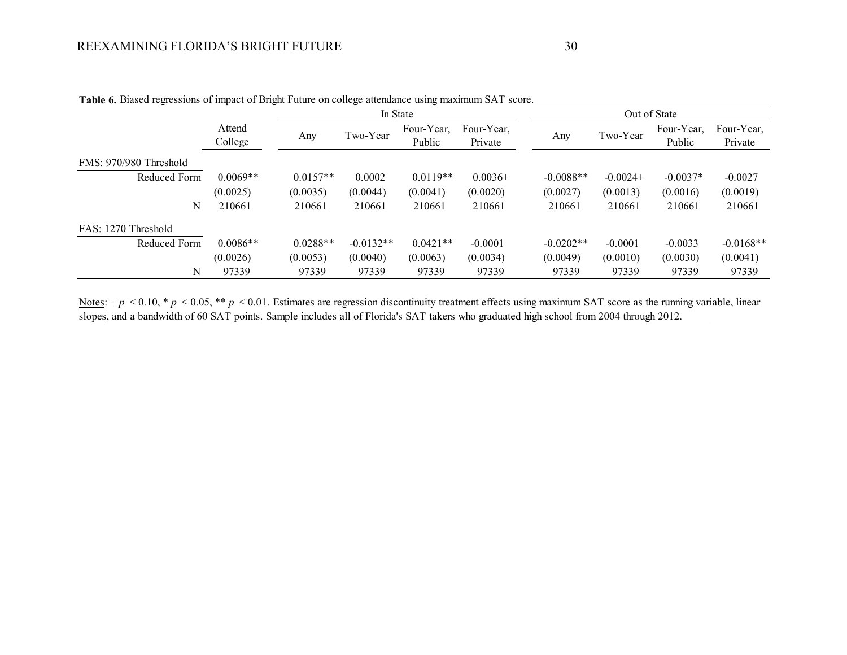| ັ                      |                   | ັ          | ັ           | ັ                    |                       |             |            |                      |                       |
|------------------------|-------------------|------------|-------------|----------------------|-----------------------|-------------|------------|----------------------|-----------------------|
|                        |                   |            |             | In State             |                       |             |            | Out of State         |                       |
|                        | Attend<br>College | Any        | Two-Year    | Four-Year,<br>Public | Four-Year,<br>Private | Any         | Two-Year   | Four-Year,<br>Public | Four-Year,<br>Private |
| FMS: 970/980 Threshold |                   |            |             |                      |                       |             |            |                      |                       |
| Reduced Form           | $0.0069**$        | $0.0157**$ | 0.0002      | $0.0119**$           | $0.0036+$             | $-0.0088**$ | $-0.0024+$ | $-0.0037*$           | $-0.0027$             |
|                        | (0.0025)          | (0.0035)   | (0.0044)    | (0.0041)             | (0.0020)              | (0.0027)    | (0.0013)   | (0.0016)             | (0.0019)              |
| N                      | 210661            | 210661     | 210661      | 210661               | 210661                | 210661      | 210661     | 210661               | 210661                |
| FAS: 1270 Threshold    |                   |            |             |                      |                       |             |            |                      |                       |
| Reduced Form           | $0.0086**$        | $0.0288**$ | $-0.0132**$ | $0.0421**$           | $-0.0001$             | $-0.0202**$ | $-0.0001$  | $-0.0033$            | $-0.0168**$           |
|                        | (0.0026)          | (0.0053)   | (0.0040)    | (0.0063)             | (0.0034)              | (0.0049)    | (0.0010)   | (0.0030)             | (0.0041)              |
| N                      | 97339             | 97339      | 97339       | 97339                | 97339                 | 97339       | 97339      | 97339                | 97339                 |

**Table 6.** Biased regressions of impact of Bright Future on college attendance using maximum SAT score.

Notes:  $+p < 0.10$ , \*  $p < 0.05$ , \*\*  $p < 0.01$ . Estimates are regression discontinuity treatment effects using maximum SAT score as the running variable, linear slopes, and a bandwidth of 60 SAT points. Sample includes all of Florida's SAT takers who graduated high school from 2004 through 2012.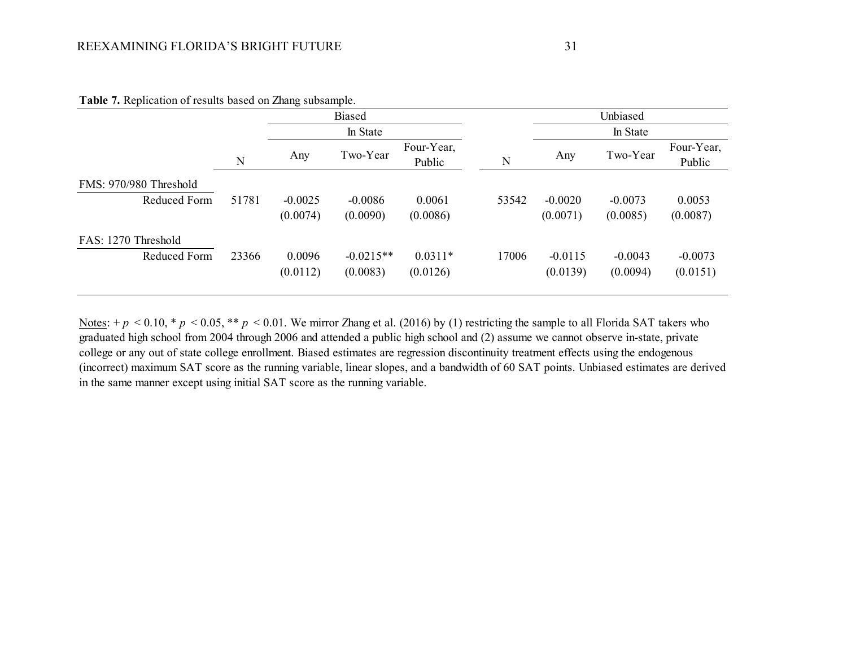| $\ddot{\phantom{1}}$   |       | È         |             |                      |       |           |           |                      |  |
|------------------------|-------|-----------|-------------|----------------------|-------|-----------|-----------|----------------------|--|
|                        |       |           | Biased      |                      |       |           | Unbiased  |                      |  |
|                        |       |           | In State    |                      |       | In State  |           |                      |  |
|                        | N     | Any       | Two-Year    | Four-Year,<br>Public | N     | Any       | Two-Year  | Four-Year,<br>Public |  |
| FMS: 970/980 Threshold |       |           |             |                      |       |           |           |                      |  |
| Reduced Form           | 51781 | $-0.0025$ | $-0.0086$   | 0.0061               | 53542 | $-0.0020$ | $-0.0073$ | 0.0053               |  |
|                        |       | (0.0074)  | (0.0090)    | (0.0086)             |       | (0.0071)  | (0.0085)  | (0.0087)             |  |
| FAS: 1270 Threshold    |       |           |             |                      |       |           |           |                      |  |
| Reduced Form           | 23366 | 0.0096    | $-0.0215**$ | $0.0311*$            | 17006 | $-0.0115$ | $-0.0043$ | $-0.0073$            |  |
|                        |       | (0.0112)  | (0.0083)    | (0.0126)             |       | (0.0139)  | (0.0094)  | (0.0151)             |  |
|                        |       |           |             |                      |       |           |           |                      |  |

**Table 7.** Replication of results based on Zhang subsample.

Notes:  $+p < 0.10$ ,  $\ast p < 0.05$ ,  $\ast \ast p < 0.01$ . We mirror Zhang et al. (2016) by (1) restricting the sample to all Florida SAT takers who graduated high school from 2004 through 2006 and attended a public high school and (2) assume we cannot observe in-state, private college or any out of state college enrollment. Biased estimates are regression discontinuity treatment effects using the endogenous (incorrect) maximum SAT score as the running variable, linear slopes, and a bandwidth of 60 SAT points. Unbiased estimates are derived in the same manner except using initial SAT score as the running variable.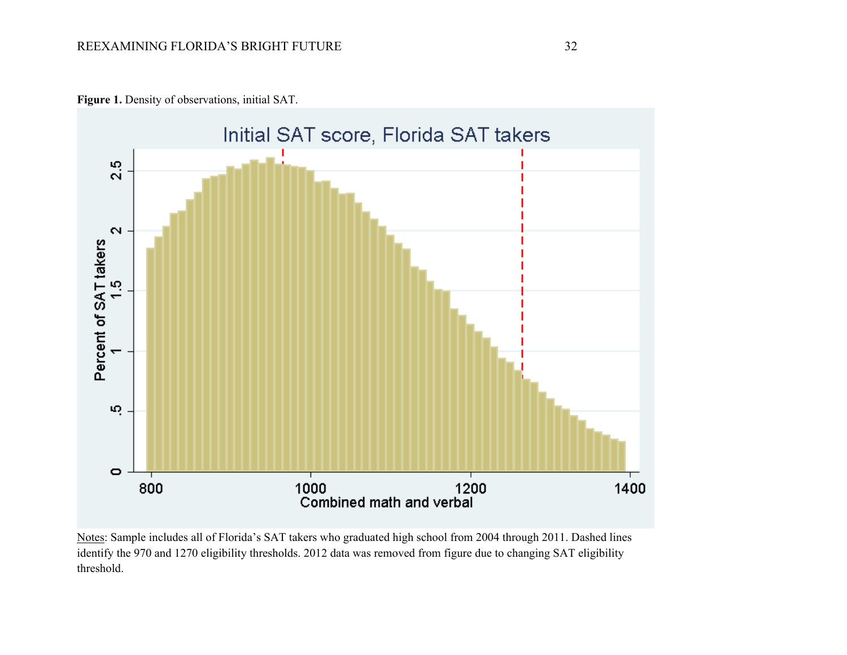

**Figure 1.** Density of observations, initial SAT.

Notes: Sample includes all of Florida's SAT takers who graduated high school from 2004 through 2011. Dashed lines identify the 970 and 1270 eligibility thresholds. 2012 data was removed from figure due to changing SAT eligibility threshold.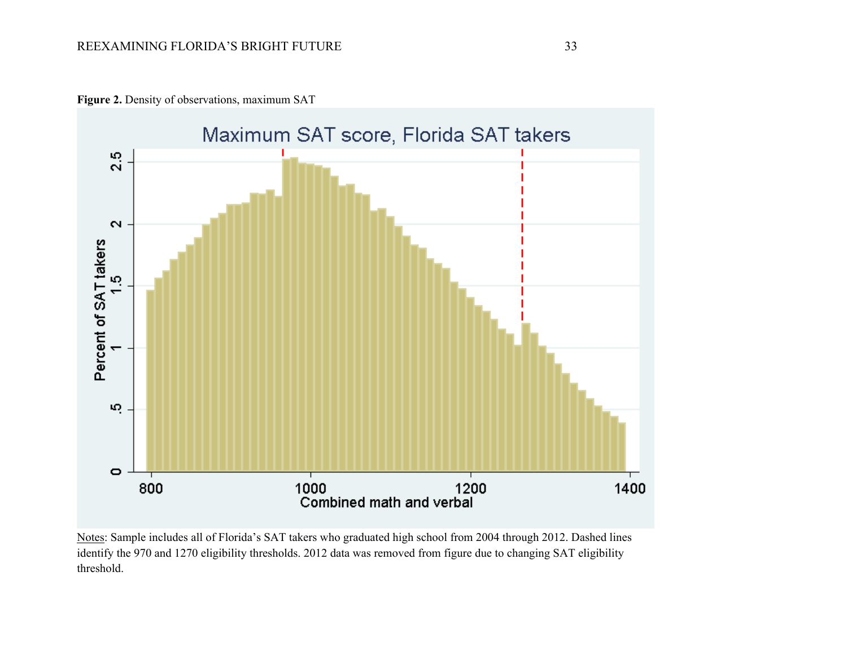



Notes: Sample includes all of Florida's SAT takers who graduated high school from 2004 through 2012. Dashed lines identify the 970 and 1270 eligibility thresholds. 2012 data was removed from figure due to changing SAT eligibility threshold.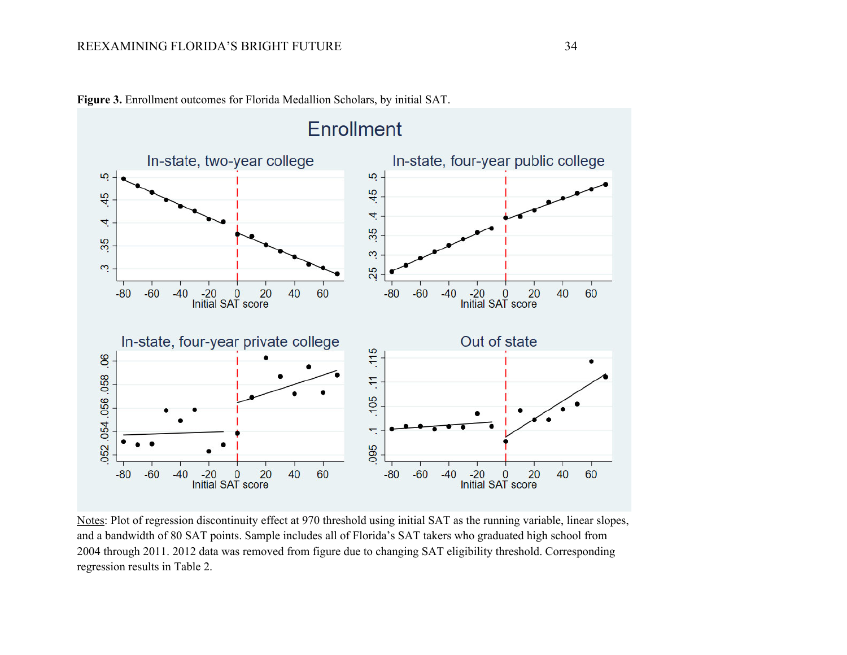

**Figure 3.** Enrollment outcomes for Florida Medallion Scholars, by initial SAT.

Notes: Plot of regression discontinuity effect at 970 threshold using initial SAT as the running variable, linear slopes, and a bandwidth of 80 SAT points. Sample includes all of Florida's SAT takers who graduated high school from 2004 through 2011. 2012 data was removed from figure due to changing SAT eligibility threshold. Corresponding regression results in Table 2.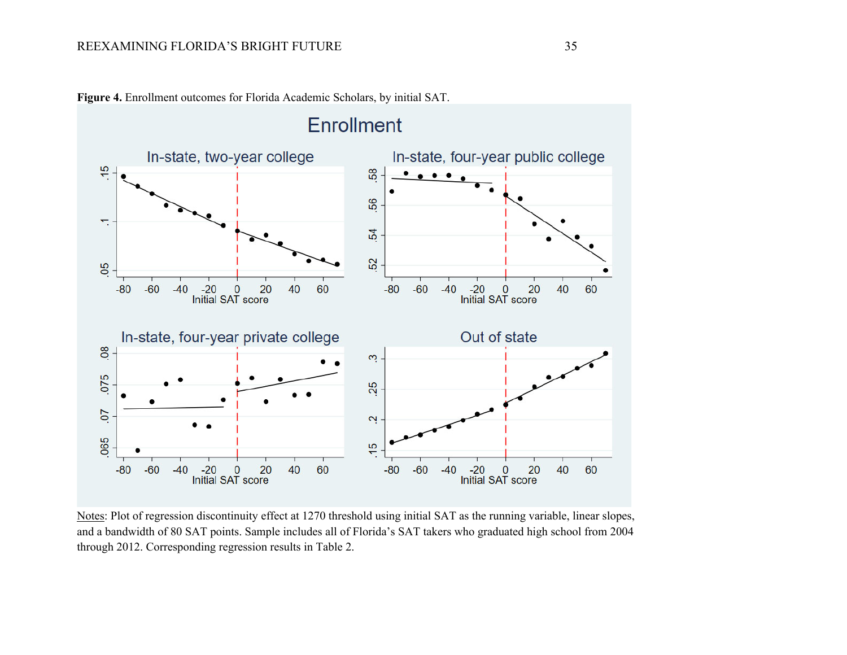

**Figure 4.** Enrollment outcomes for Florida Academic Scholars, by initial SAT.

Notes: Plot of regression discontinuity effect at 1270 threshold using initial SAT as the running variable, linear slopes, and a bandwidth of 80 SAT points. Sample includes all of Florida's SAT takers who graduated high school from 2004 through 2012. Corresponding regression results in Table 2.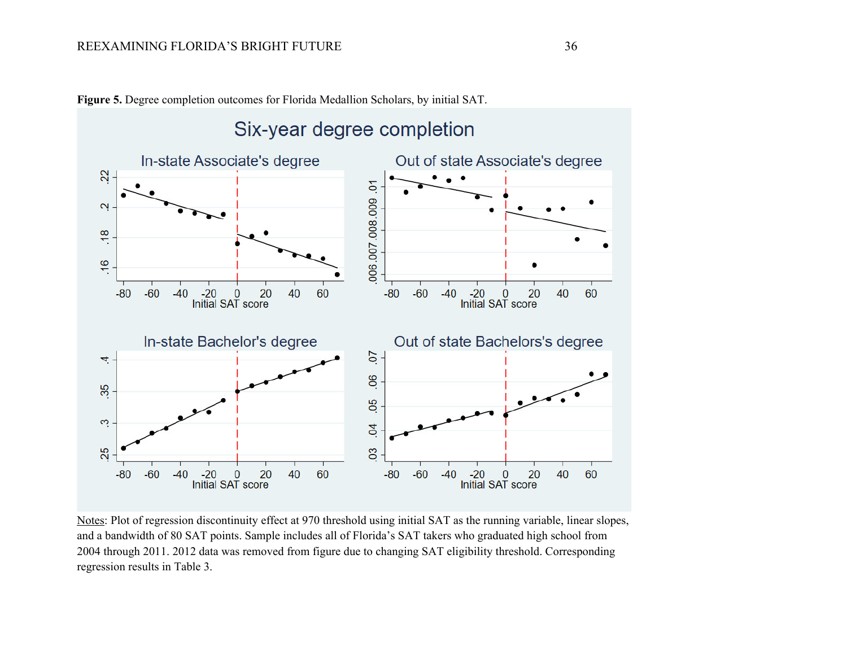

**Figure 5.** Degree completion outcomes for Florida Medallion Scholars, by initial SAT.

Notes: Plot of regression discontinuity effect at 970 threshold using initial SAT as the running variable, linear slopes, and a bandwidth of 80 SAT points. Sample includes all of Florida's SAT takers who graduated high school from 2004 through 2011. 2012 data was removed from figure due to changing SAT eligibility threshold. Corresponding regression results in Table 3.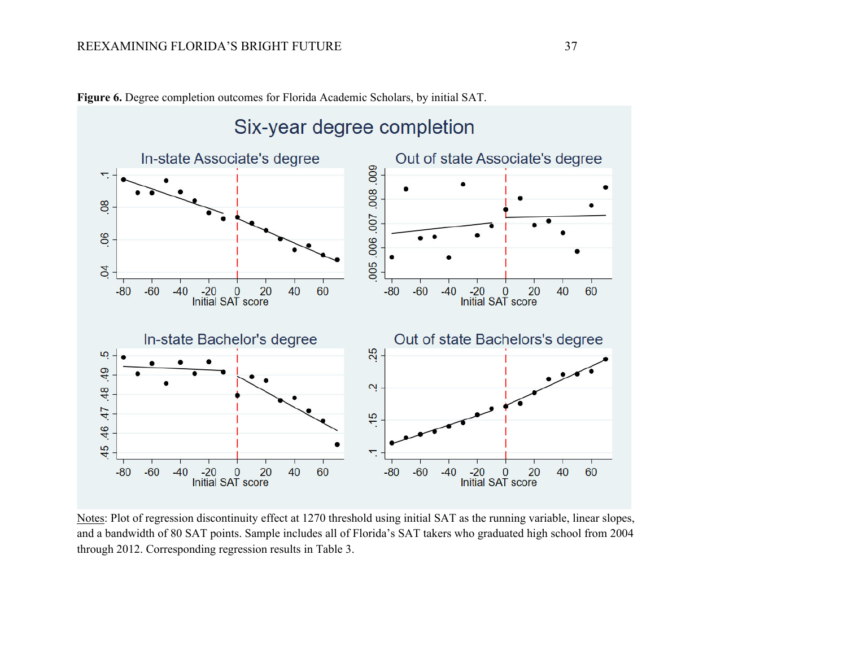

**Figure 6.** Degree completion outcomes for Florida Academic Scholars, by initial SAT.

Notes: Plot of regression discontinuity effect at 1270 threshold using initial SAT as the running variable, linear slopes, and a bandwidth of 80 SAT points. Sample includes all of Florida's SAT takers who graduated high school from 2004 through 2012. Corresponding regression results in Table 3.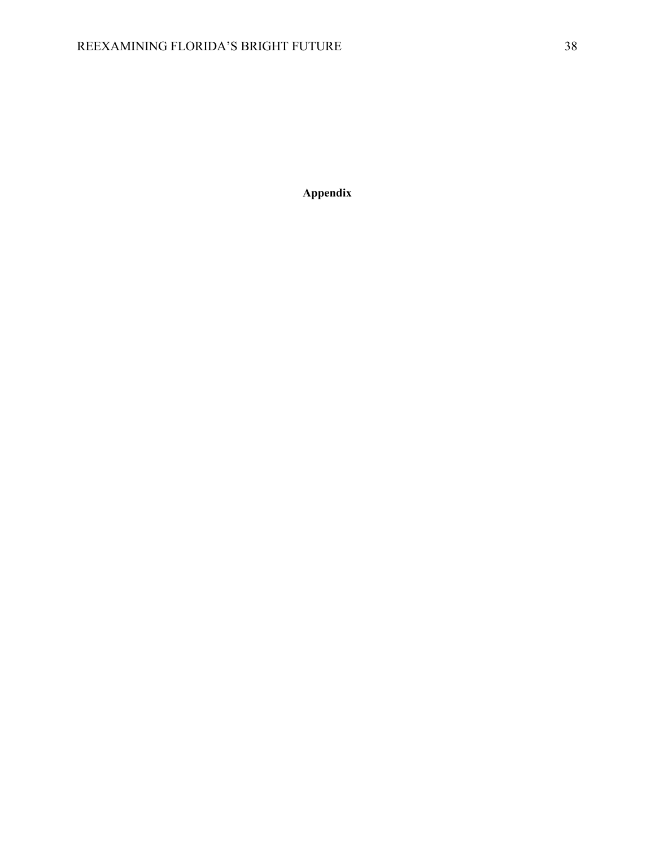**Appendix**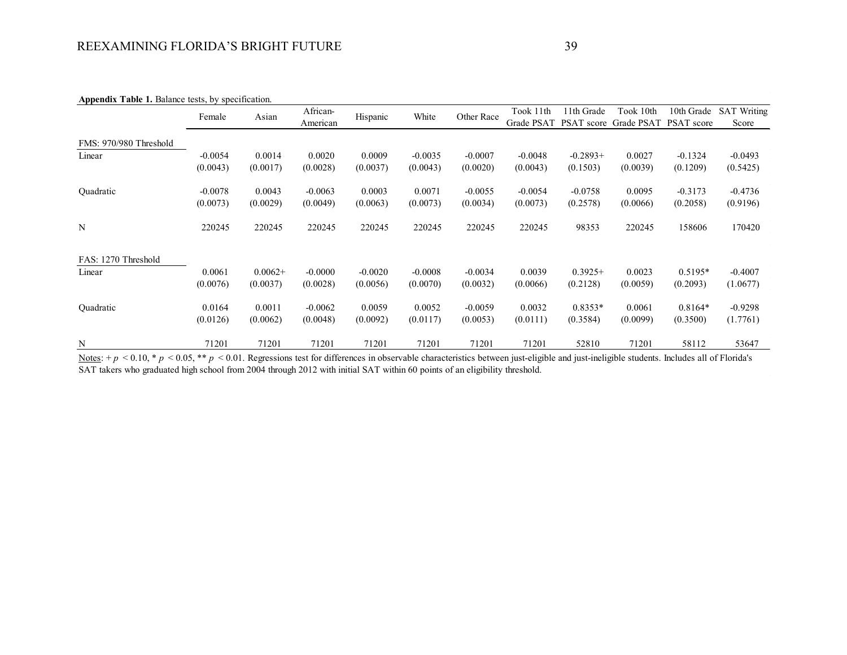| <b>Appendix 1 apie 1.</b> Balance lests, by specification. |           |           |           |           |           |            |           |            |                                  |                   |                    |
|------------------------------------------------------------|-----------|-----------|-----------|-----------|-----------|------------|-----------|------------|----------------------------------|-------------------|--------------------|
|                                                            | Female    |           | African-  |           | White     | Other Race | Took 11th | 11th Grade | Took 10th                        | 10th Grade        | <b>SAT Writing</b> |
|                                                            |           | Asian     | American  | Hispanic  |           |            |           |            | Grade PSAT PSAT score Grade PSAT | <b>PSAT</b> score | Score              |
| FMS: 970/980 Threshold                                     |           |           |           |           |           |            |           |            |                                  |                   |                    |
| Linear                                                     | $-0.0054$ | 0.0014    | 0.0020    | 0.0009    | $-0.0035$ | $-0.0007$  | $-0.0048$ | $-0.2893+$ | 0.0027                           | $-0.1324$         | $-0.0493$          |
|                                                            | (0.0043)  | (0.0017)  | (0.0028)  | (0.0037)  | (0.0043)  | (0.0020)   | (0.0043)  | (0.1503)   | (0.0039)                         | (0.1209)          | (0.5425)           |
| Quadratic                                                  | $-0.0078$ | 0.0043    | $-0.0063$ | 0.0003    | 0.0071    | $-0.0055$  | $-0.0054$ | $-0.0758$  | 0.0095                           | $-0.3173$         | $-0.4736$          |
|                                                            | (0.0073)  | (0.0029)  | (0.0049)  | (0.0063)  | (0.0073)  | (0.0034)   | (0.0073)  | (0.2578)   | (0.0066)                         | (0.2058)          | (0.9196)           |
| N                                                          | 220245    | 220245    | 220245    | 220245    | 220245    | 220245     | 220245    | 98353      | 220245                           | 158606            | 170420             |
| FAS: 1270 Threshold                                        |           |           |           |           |           |            |           |            |                                  |                   |                    |
| Linear                                                     | 0.0061    | $0.0062+$ | $-0.0000$ | $-0.0020$ | $-0.0008$ | $-0.0034$  | 0.0039    | $0.3925+$  | 0.0023                           | $0.5195*$         | $-0.4007$          |
|                                                            | (0.0076)  | (0.0037)  | (0.0028)  | (0.0056)  | (0.0070)  | (0.0032)   | (0.0066)  | (0.2128)   | (0.0059)                         | (0.2093)          | (1.0677)           |
| Quadratic                                                  | 0.0164    | 0.0011    | $-0.0062$ | 0.0059    | 0.0052    | $-0.0059$  | 0.0032    | $0.8353*$  | 0.0061                           | $0.8164*$         | $-0.9298$          |
|                                                            | (0.0126)  | (0.0062)  | (0.0048)  | (0.0092)  | (0.0117)  | (0.0053)   | (0.0111)  | (0.3584)   | (0.0099)                         | (0.3500)          | (1.7761)           |
| N                                                          | 71201     | 71201     | 71201     | 71201     | 71201     | 71201      | 71201     | 52810      | 71201                            | 58112             | 53647              |

**Appendix Table 1.** Balance tests, by specification.

Notes: +  $p$  < 0.10, \*  $p$  < 0.05, \*\*  $p$  < 0.01. Regressions test for differences in observable characteristics between just-eligible and just-ineligible students. Includes all of Florida's SAT takers who graduated high school from 2004 through 2012 with initial SAT within 60 points of an eligibility threshold.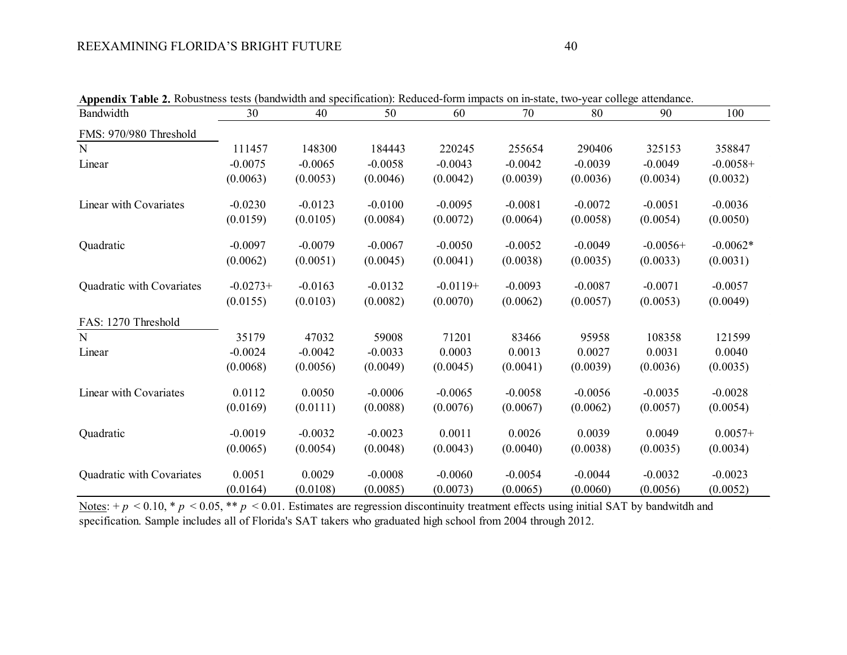| Appendix Table 2. Robustness tests (bandwidth and specification): Reduced-form impacts on in-state, two-year college attendance. |            |           |           |            |           |           |            |            |
|----------------------------------------------------------------------------------------------------------------------------------|------------|-----------|-----------|------------|-----------|-----------|------------|------------|
| Bandwidth                                                                                                                        | 30         | 40        | 50        | 60         | 70        | 80        | 90         | 100        |
| FMS: 970/980 Threshold                                                                                                           |            |           |           |            |           |           |            |            |
| N                                                                                                                                | 111457     | 148300    | 184443    | 220245     | 255654    | 290406    | 325153     | 358847     |
| Linear                                                                                                                           | $-0.0075$  | $-0.0065$ | $-0.0058$ | $-0.0043$  | $-0.0042$ | $-0.0039$ | $-0.0049$  | $-0.0058+$ |
|                                                                                                                                  | (0.0063)   | (0.0053)  | (0.0046)  | (0.0042)   | (0.0039)  | (0.0036)  | (0.0034)   | (0.0032)   |
| Linear with Covariates                                                                                                           | $-0.0230$  | $-0.0123$ | $-0.0100$ | $-0.0095$  | $-0.0081$ | $-0.0072$ | $-0.0051$  | $-0.0036$  |
|                                                                                                                                  | (0.0159)   | (0.0105)  | (0.0084)  | (0.0072)   | (0.0064)  | (0.0058)  | (0.0054)   | (0.0050)   |
| Quadratic                                                                                                                        | $-0.0097$  | $-0.0079$ | $-0.0067$ | $-0.0050$  | $-0.0052$ | $-0.0049$ | $-0.0056+$ | $-0.0062*$ |
|                                                                                                                                  | (0.0062)   | (0.0051)  | (0.0045)  | (0.0041)   | (0.0038)  | (0.0035)  | (0.0033)   | (0.0031)   |
| Quadratic with Covariates                                                                                                        | $-0.0273+$ | $-0.0163$ | $-0.0132$ | $-0.0119+$ | $-0.0093$ | $-0.0087$ | $-0.0071$  | $-0.0057$  |
|                                                                                                                                  | (0.0155)   | (0.0103)  | (0.0082)  | (0.0070)   | (0.0062)  | (0.0057)  | (0.0053)   | (0.0049)   |
| FAS: 1270 Threshold                                                                                                              |            |           |           |            |           |           |            |            |
| N                                                                                                                                | 35179      | 47032     | 59008     | 71201      | 83466     | 95958     | 108358     | 121599     |
| Linear                                                                                                                           | $-0.0024$  | $-0.0042$ | $-0.0033$ | 0.0003     | 0.0013    | 0.0027    | 0.0031     | 0.0040     |
|                                                                                                                                  | (0.0068)   | (0.0056)  | (0.0049)  | (0.0045)   | (0.0041)  | (0.0039)  | (0.0036)   | (0.0035)   |
| Linear with Covariates                                                                                                           | 0.0112     | 0.0050    | $-0.0006$ | $-0.0065$  | $-0.0058$ | $-0.0056$ | $-0.0035$  | $-0.0028$  |
|                                                                                                                                  | (0.0169)   | (0.0111)  | (0.0088)  | (0.0076)   | (0.0067)  | (0.0062)  | (0.0057)   | (0.0054)   |
| Quadratic                                                                                                                        | $-0.0019$  | $-0.0032$ | $-0.0023$ | 0.0011     | 0.0026    | 0.0039    | 0.0049     | $0.0057+$  |
|                                                                                                                                  | (0.0065)   | (0.0054)  | (0.0048)  | (0.0043)   | (0.0040)  | (0.0038)  | (0.0035)   | (0.0034)   |
| Quadratic with Covariates                                                                                                        | 0.0051     | 0.0029    | $-0.0008$ | $-0.0060$  | $-0.0054$ | $-0.0044$ | $-0.0032$  | $-0.0023$  |
|                                                                                                                                  | (0.0164)   | (0.0108)  | (0.0085)  | (0.0073)   | (0.0065)  | (0.0060)  | (0.0056)   | (0.0052)   |

**Appendix Table 2.** Robustness tests (bandwidth and specification): Reduced-form impacts on in-state, two-year college attendance.

Notes:  $+p < 0.10$ ,  $p < 0.05$ ,  $\ast p < 0.01$ . Estimates are regression discontinuity treatment effects using initial SAT by bandwitdh and specification. Sample includes all of Florida's SAT takers who graduated high school from 2004 through 2012.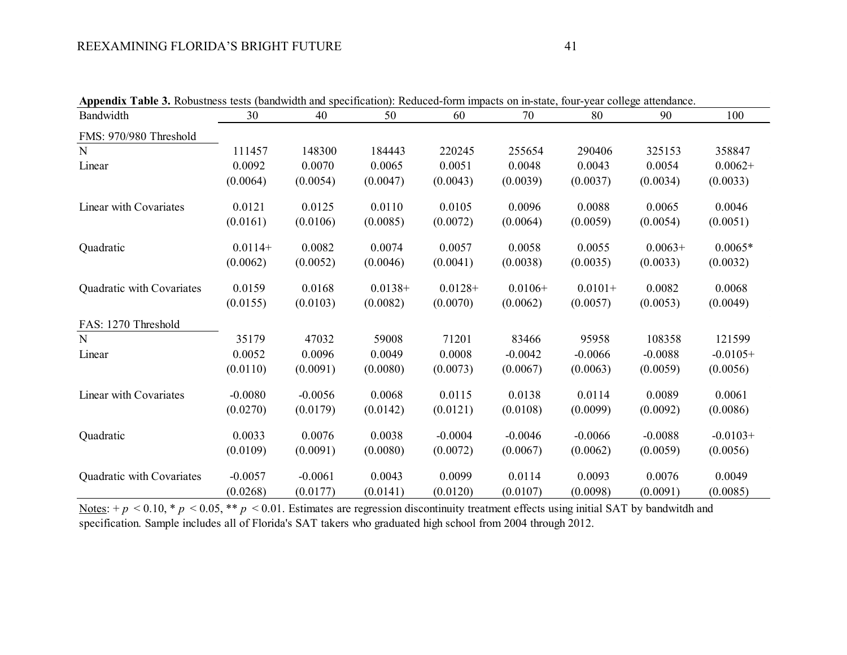| Appendix Table 3. Robustness tests (bandwidth and specification): Reduced-form impacts on in-state, four-year college attendance. |           |           |           |            |           |           |           |            |
|-----------------------------------------------------------------------------------------------------------------------------------|-----------|-----------|-----------|------------|-----------|-----------|-----------|------------|
| Bandwidth                                                                                                                         | 30        | 40        | 50        | 60         | 70        | 80        | 90        | 100        |
| FMS: 970/980 Threshold                                                                                                            |           |           |           |            |           |           |           |            |
| N                                                                                                                                 | 111457    | 148300    | 184443    | 220245     | 255654    | 290406    | 325153    | 358847     |
| Linear                                                                                                                            | 0.0092    | 0.0070    | 0.0065    | 0.0051     | 0.0048    | 0.0043    | 0.0054    | $0.0062+$  |
|                                                                                                                                   | (0.0064)  | (0.0054)  | (0.0047)  | (0.0043)   | (0.0039)  | (0.0037)  | (0.0034)  | (0.0033)   |
| Linear with Covariates                                                                                                            | 0.0121    | 0.0125    | 0.0110    | 0.0105     | 0.0096    | 0.0088    | 0.0065    | 0.0046     |
|                                                                                                                                   | (0.0161)  | (0.0106)  | (0.0085)  | (0.0072)   | (0.0064)  | (0.0059)  | (0.0054)  | (0.0051)   |
| Quadratic                                                                                                                         | $0.0114+$ | 0.0082    | 0.0074    | 0.0057     | 0.0058    | 0.0055    | $0.0063+$ | $0.0065*$  |
|                                                                                                                                   | (0.0062)  | (0.0052)  | (0.0046)  | (0.0041)   | (0.0038)  | (0.0035)  | (0.0033)  | (0.0032)   |
| Quadratic with Covariates                                                                                                         | 0.0159    | 0.0168    | $0.0138+$ | $0.0128 +$ | $0.0106+$ | $0.0101+$ | 0.0082    | 0.0068     |
|                                                                                                                                   | (0.0155)  | (0.0103)  | (0.0082)  | (0.0070)   | (0.0062)  | (0.0057)  | (0.0053)  | (0.0049)   |
| FAS: 1270 Threshold                                                                                                               |           |           |           |            |           |           |           |            |
| N                                                                                                                                 | 35179     | 47032     | 59008     | 71201      | 83466     | 95958     | 108358    | 121599     |
| Linear                                                                                                                            | 0.0052    | 0.0096    | 0.0049    | 0.0008     | $-0.0042$ | $-0.0066$ | $-0.0088$ | $-0.0105+$ |
|                                                                                                                                   | (0.0110)  | (0.0091)  | (0.0080)  | (0.0073)   | (0.0067)  | (0.0063)  | (0.0059)  | (0.0056)   |
| Linear with Covariates                                                                                                            | $-0.0080$ | $-0.0056$ | 0.0068    | 0.0115     | 0.0138    | 0.0114    | 0.0089    | 0.0061     |
|                                                                                                                                   | (0.0270)  | (0.0179)  | (0.0142)  | (0.0121)   | (0.0108)  | (0.0099)  | (0.0092)  | (0.0086)   |
| Quadratic                                                                                                                         | 0.0033    | 0.0076    | 0.0038    | $-0.0004$  | $-0.0046$ | $-0.0066$ | $-0.0088$ | $-0.0103+$ |
|                                                                                                                                   | (0.0109)  | (0.0091)  | (0.0080)  | (0.0072)   | (0.0067)  | (0.0062)  | (0.0059)  | (0.0056)   |
| Quadratic with Covariates                                                                                                         | $-0.0057$ | $-0.0061$ | 0.0043    | 0.0099     | 0.0114    | 0.0093    | 0.0076    | 0.0049     |
|                                                                                                                                   | (0.0268)  | (0.0177)  | (0.0141)  | (0.0120)   | (0.0107)  | (0.0098)  | (0.0091)  | (0.0085)   |

**Appendix Table 3.** Robustness tests (bandwidth and specification): Reduced-form impacts on in-state, four-year college attendance.

Notes:  $+p < 0.10$ ,  $p < 0.05$ ,  $\ast p < 0.01$ . Estimates are regression discontinuity treatment effects using initial SAT by bandwitdh and specification. Sample includes all of Florida's SAT takers who graduated high school from 2004 through 2012.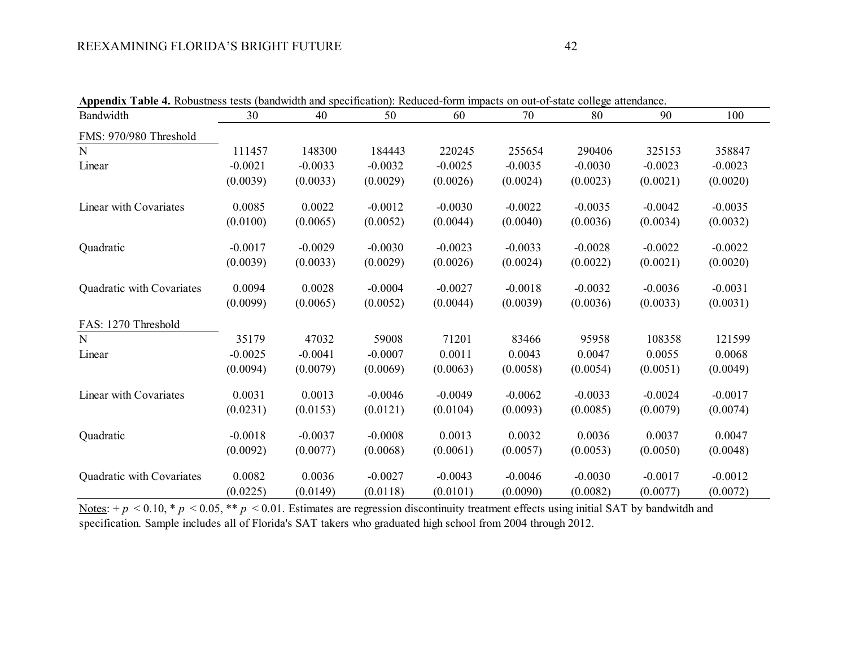| Appendix Table 4. Robustness tests (bandwidth and specification): Reduced-form impacts on out-of-state college attendance. |           |           |           |           |           |           |           |           |
|----------------------------------------------------------------------------------------------------------------------------|-----------|-----------|-----------|-----------|-----------|-----------|-----------|-----------|
| Bandwidth                                                                                                                  | 30        | 40        | 50        | 60        | 70        | 80        | 90        | 100       |
| FMS: 970/980 Threshold                                                                                                     |           |           |           |           |           |           |           |           |
| N                                                                                                                          | 111457    | 148300    | 184443    | 220245    | 255654    | 290406    | 325153    | 358847    |
| Linear                                                                                                                     | $-0.0021$ | $-0.0033$ | $-0.0032$ | $-0.0025$ | $-0.0035$ | $-0.0030$ | $-0.0023$ | $-0.0023$ |
|                                                                                                                            | (0.0039)  | (0.0033)  | (0.0029)  | (0.0026)  | (0.0024)  | (0.0023)  | (0.0021)  | (0.0020)  |
| Linear with Covariates                                                                                                     | 0.0085    | 0.0022    | $-0.0012$ | $-0.0030$ | $-0.0022$ | $-0.0035$ | $-0.0042$ | $-0.0035$ |
|                                                                                                                            | (0.0100)  | (0.0065)  | (0.0052)  | (0.0044)  | (0.0040)  | (0.0036)  | (0.0034)  | (0.0032)  |
| Quadratic                                                                                                                  | $-0.0017$ | $-0.0029$ | $-0.0030$ | $-0.0023$ | $-0.0033$ | $-0.0028$ | $-0.0022$ | $-0.0022$ |
|                                                                                                                            | (0.0039)  | (0.0033)  | (0.0029)  | (0.0026)  | (0.0024)  | (0.0022)  | (0.0021)  | (0.0020)  |
| Quadratic with Covariates                                                                                                  | 0.0094    | 0.0028    | $-0.0004$ | $-0.0027$ | $-0.0018$ | $-0.0032$ | $-0.0036$ | $-0.0031$ |
|                                                                                                                            | (0.0099)  | (0.0065)  | (0.0052)  | (0.0044)  | (0.0039)  | (0.0036)  | (0.0033)  | (0.0031)  |
| FAS: 1270 Threshold                                                                                                        |           |           |           |           |           |           |           |           |
| N                                                                                                                          | 35179     | 47032     | 59008     | 71201     | 83466     | 95958     | 108358    | 121599    |
| Linear                                                                                                                     | $-0.0025$ | $-0.0041$ | $-0.0007$ | 0.0011    | 0.0043    | 0.0047    | 0.0055    | 0.0068    |
|                                                                                                                            | (0.0094)  | (0.0079)  | (0.0069)  | (0.0063)  | (0.0058)  | (0.0054)  | (0.0051)  | (0.0049)  |
| Linear with Covariates                                                                                                     | 0.0031    | 0.0013    | $-0.0046$ | $-0.0049$ | $-0.0062$ | $-0.0033$ | $-0.0024$ | $-0.0017$ |
|                                                                                                                            | (0.0231)  | (0.0153)  | (0.0121)  | (0.0104)  | (0.0093)  | (0.0085)  | (0.0079)  | (0.0074)  |
| Quadratic                                                                                                                  | $-0.0018$ | $-0.0037$ | $-0.0008$ | 0.0013    | 0.0032    | 0.0036    | 0.0037    | 0.0047    |
|                                                                                                                            | (0.0092)  | (0.0077)  | (0.0068)  | (0.0061)  | (0.0057)  | (0.0053)  | (0.0050)  | (0.0048)  |
| Quadratic with Covariates                                                                                                  | 0.0082    | 0.0036    | $-0.0027$ | $-0.0043$ | $-0.0046$ | $-0.0030$ | $-0.0017$ | $-0.0012$ |
|                                                                                                                            | (0.0225)  | (0.0149)  | (0.0118)  | (0.0101)  | (0.0090)  | (0.0082)  | (0.0077)  | (0.0072)  |

**Appendix Table 4.** Robustness tests (bandwidth and specification): Reduced-form impacts on out-of-state college attendance.

Notes:  $+p < 0.10$ ,  $p < 0.05$ ,  $\ast p < 0.01$ . Estimates are regression discontinuity treatment effects using initial SAT by bandwitdh and specification. Sample includes all of Florida's SAT takers who graduated high school from 2004 through 2012.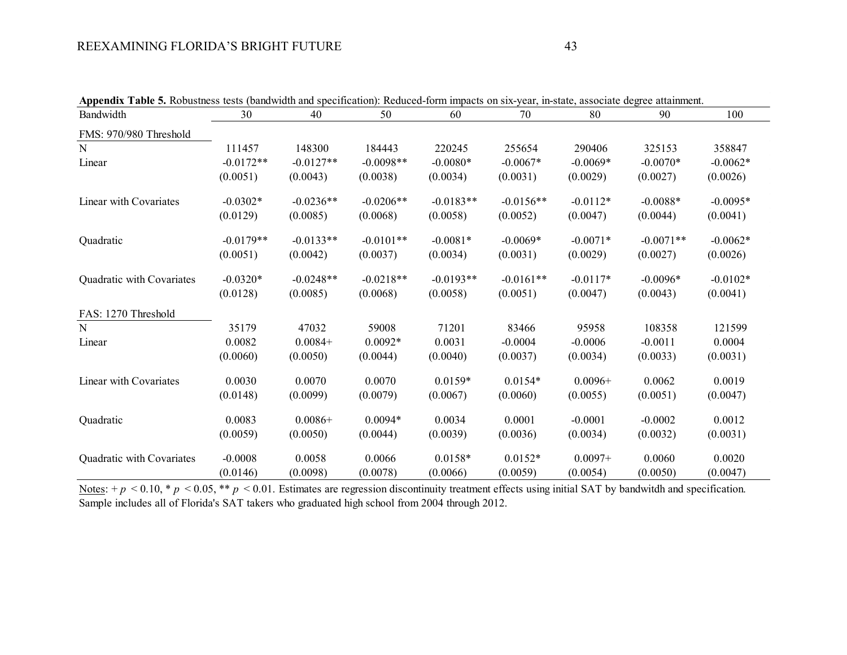| <b>Appendix Table 5.</b> Robustness tests (bandwidth and specification): Reduced-form impacts on six-year, in-state, associate degree attainment. |             |             |             |             |             |            |             |            |  |  |  |
|---------------------------------------------------------------------------------------------------------------------------------------------------|-------------|-------------|-------------|-------------|-------------|------------|-------------|------------|--|--|--|
| Bandwidth                                                                                                                                         | 30          | 40          | 50          | 60          | 70          | 80         | 90          | 100        |  |  |  |
| FMS: 970/980 Threshold                                                                                                                            |             |             |             |             |             |            |             |            |  |  |  |
| N                                                                                                                                                 | 111457      | 148300      | 184443      | 220245      | 255654      | 290406     | 325153      | 358847     |  |  |  |
| Linear                                                                                                                                            | $-0.0172**$ | $-0.0127**$ | $-0.0098**$ | $-0.0080*$  | $-0.0067*$  | $-0.0069*$ | $-0.0070*$  | $-0.0062*$ |  |  |  |
|                                                                                                                                                   | (0.0051)    | (0.0043)    | (0.0038)    | (0.0034)    | (0.0031)    | (0.0029)   | (0.0027)    | (0.0026)   |  |  |  |
| Linear with Covariates                                                                                                                            | $-0.0302*$  | $-0.0236**$ | $-0.0206**$ | $-0.0183**$ | $-0.0156**$ | $-0.0112*$ | $-0.0088*$  | $-0.0095*$ |  |  |  |
|                                                                                                                                                   | (0.0129)    | (0.0085)    | (0.0068)    | (0.0058)    | (0.0052)    | (0.0047)   | (0.0044)    | (0.0041)   |  |  |  |
| Quadratic                                                                                                                                         | $-0.0179**$ | $-0.0133**$ | $-0.0101**$ | $-0.0081*$  | $-0.0069*$  | $-0.0071*$ | $-0.0071**$ | $-0.0062*$ |  |  |  |
|                                                                                                                                                   | (0.0051)    | (0.0042)    | (0.0037)    | (0.0034)    | (0.0031)    | (0.0029)   | (0.0027)    | (0.0026)   |  |  |  |
| Quadratic with Covariates                                                                                                                         | $-0.0320*$  | $-0.0248**$ | $-0.0218**$ | $-0.0193**$ | $-0.0161**$ | $-0.0117*$ | $-0.0096*$  | $-0.0102*$ |  |  |  |
|                                                                                                                                                   | (0.0128)    | (0.0085)    | (0.0068)    | (0.0058)    | (0.0051)    | (0.0047)   | (0.0043)    | (0.0041)   |  |  |  |
| FAS: 1270 Threshold                                                                                                                               |             |             |             |             |             |            |             |            |  |  |  |
| N                                                                                                                                                 | 35179       | 47032       | 59008       | 71201       | 83466       | 95958      | 108358      | 121599     |  |  |  |
| Linear                                                                                                                                            | 0.0082      | $0.0084+$   | $0.0092*$   | 0.0031      | $-0.0004$   | $-0.0006$  | $-0.0011$   | 0.0004     |  |  |  |
|                                                                                                                                                   | (0.0060)    | (0.0050)    | (0.0044)    | (0.0040)    | (0.0037)    | (0.0034)   | (0.0033)    | (0.0031)   |  |  |  |
| Linear with Covariates                                                                                                                            | 0.0030      | 0.0070      | 0.0070      | $0.0159*$   | $0.0154*$   | $0.0096+$  | 0.0062      | 0.0019     |  |  |  |
|                                                                                                                                                   | (0.0148)    | (0.0099)    | (0.0079)    | (0.0067)    | (0.0060)    | (0.0055)   | (0.0051)    | (0.0047)   |  |  |  |
| Quadratic                                                                                                                                         | 0.0083      | $0.0086+$   | $0.0094*$   | 0.0034      | 0.0001      | $-0.0001$  | $-0.0002$   | 0.0012     |  |  |  |
|                                                                                                                                                   | (0.0059)    | (0.0050)    | (0.0044)    | (0.0039)    | (0.0036)    | (0.0034)   | (0.0032)    | (0.0031)   |  |  |  |
| Quadratic with Covariates                                                                                                                         | $-0.0008$   | 0.0058      | 0.0066      | $0.0158*$   | $0.0152*$   | $0.0097+$  | 0.0060      | 0.0020     |  |  |  |
|                                                                                                                                                   | (0.0146)    | (0.0098)    | (0.0078)    | (0.0066)    | (0.0059)    | (0.0054)   | (0.0050)    | (0.0047)   |  |  |  |

**Appendix Table 5.** Robustness tests (bandwidth and specification): Reduced-form impacts on six-year, in-state, associate degree attainment.

Notes:  $+p < 0.10$ ,  $p < 0.05$ ,  $\ast p < 0.01$ . Estimates are regression discontinuity treatment effects using initial SAT by bandwitdh and specification. Sample includes all of Florida's SAT takers who graduated high school from 2004 through 2012.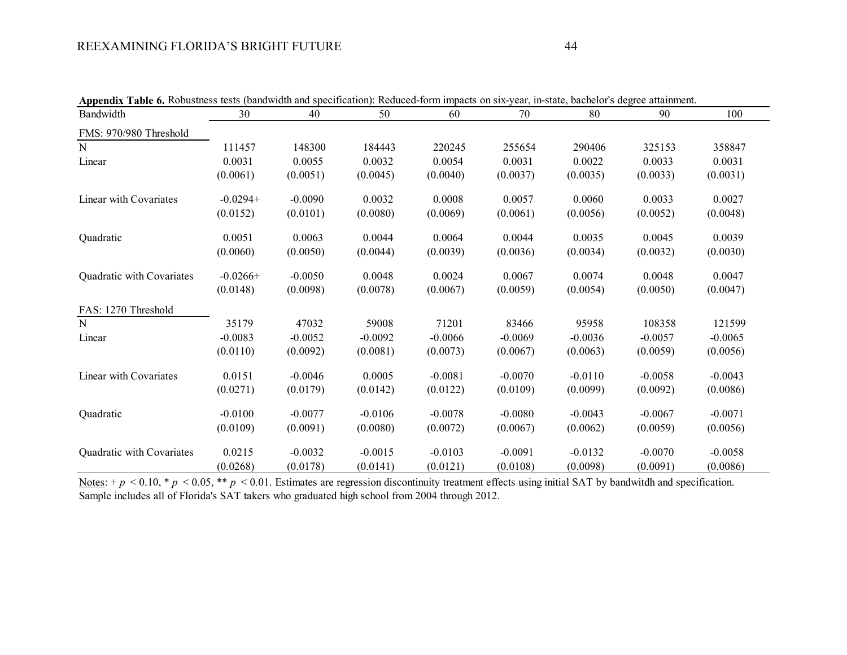|                           | <b>Appendix Table 6.</b> Robustness tests (bandwidth and specification): Reduced-form impacts on six-year, in-state, bachelor's degree attainment. |           |           |           |           |           |           |           |
|---------------------------|----------------------------------------------------------------------------------------------------------------------------------------------------|-----------|-----------|-----------|-----------|-----------|-----------|-----------|
| Bandwidth                 | 30                                                                                                                                                 | 40        | 50        | 60        | 70        | 80        | 90        | 100       |
| FMS: 970/980 Threshold    |                                                                                                                                                    |           |           |           |           |           |           |           |
| N                         | 111457                                                                                                                                             | 148300    | 184443    | 220245    | 255654    | 290406    | 325153    | 358847    |
| Linear                    | 0.0031                                                                                                                                             | 0.0055    | 0.0032    | 0.0054    | 0.0031    | 0.0022    | 0.0033    | 0.0031    |
|                           | (0.0061)                                                                                                                                           | (0.0051)  | (0.0045)  | (0.0040)  | (0.0037)  | (0.0035)  | (0.0033)  | (0.0031)  |
| Linear with Covariates    | $-0.0294+$                                                                                                                                         | $-0.0090$ | 0.0032    | 0.0008    | 0.0057    | 0.0060    | 0.0033    | 0.0027    |
|                           | (0.0152)                                                                                                                                           | (0.0101)  | (0.0080)  | (0.0069)  | (0.0061)  | (0.0056)  | (0.0052)  | (0.0048)  |
| Quadratic                 | 0.0051                                                                                                                                             | 0.0063    | 0.0044    | 0.0064    | 0.0044    | 0.0035    | 0.0045    | 0.0039    |
|                           | (0.0060)                                                                                                                                           | (0.0050)  | (0.0044)  | (0.0039)  | (0.0036)  | (0.0034)  | (0.0032)  | (0.0030)  |
| Quadratic with Covariates | $-0.0266+$                                                                                                                                         | $-0.0050$ | 0.0048    | 0.0024    | 0.0067    | 0.0074    | 0.0048    | 0.0047    |
|                           | (0.0148)                                                                                                                                           | (0.0098)  | (0.0078)  | (0.0067)  | (0.0059)  | (0.0054)  | (0.0050)  | (0.0047)  |
| FAS: 1270 Threshold       |                                                                                                                                                    |           |           |           |           |           |           |           |
| N                         | 35179                                                                                                                                              | 47032     | 59008     | 71201     | 83466     | 95958     | 108358    | 121599    |
| Linear                    | $-0.0083$                                                                                                                                          | $-0.0052$ | $-0.0092$ | $-0.0066$ | $-0.0069$ | $-0.0036$ | $-0.0057$ | $-0.0065$ |
|                           | (0.0110)                                                                                                                                           | (0.0092)  | (0.0081)  | (0.0073)  | (0.0067)  | (0.0063)  | (0.0059)  | (0.0056)  |
| Linear with Covariates    | 0.0151                                                                                                                                             | $-0.0046$ | 0.0005    | $-0.0081$ | $-0.0070$ | $-0.0110$ | $-0.0058$ | $-0.0043$ |
|                           | (0.0271)                                                                                                                                           | (0.0179)  | (0.0142)  | (0.0122)  | (0.0109)  | (0.0099)  | (0.0092)  | (0.0086)  |
| Quadratic                 | $-0.0100$                                                                                                                                          | $-0.0077$ | $-0.0106$ | $-0.0078$ | $-0.0080$ | $-0.0043$ | $-0.0067$ | $-0.0071$ |
|                           | (0.0109)                                                                                                                                           | (0.0091)  | (0.0080)  | (0.0072)  | (0.0067)  | (0.0062)  | (0.0059)  | (0.0056)  |
| Quadratic with Covariates | 0.0215                                                                                                                                             | $-0.0032$ | $-0.0015$ | $-0.0103$ | $-0.0091$ | $-0.0132$ | $-0.0070$ | $-0.0058$ |
|                           | (0.0268)                                                                                                                                           | (0.0178)  | (0.0141)  | (0.0121)  | (0.0108)  | (0.0098)  | (0.0091)  | (0.0086)  |

|  |  |  | Appendix Table 6. Robustness tests (bandwidth and specification): Reduced-form impacts on six-year, in-state, bachelor's degree attainment. |  |  |
|--|--|--|---------------------------------------------------------------------------------------------------------------------------------------------|--|--|
|--|--|--|---------------------------------------------------------------------------------------------------------------------------------------------|--|--|

Notes:  $+p < 0.10$ ,  $\ast p < 0.05$ ,  $\ast \ast p < 0.01$ . Estimates are regression discontinuity treatment effects using initial SAT by bandwitdh and specification. Sample includes all of Florida's SAT takers who graduated high school from 2004 through 2012.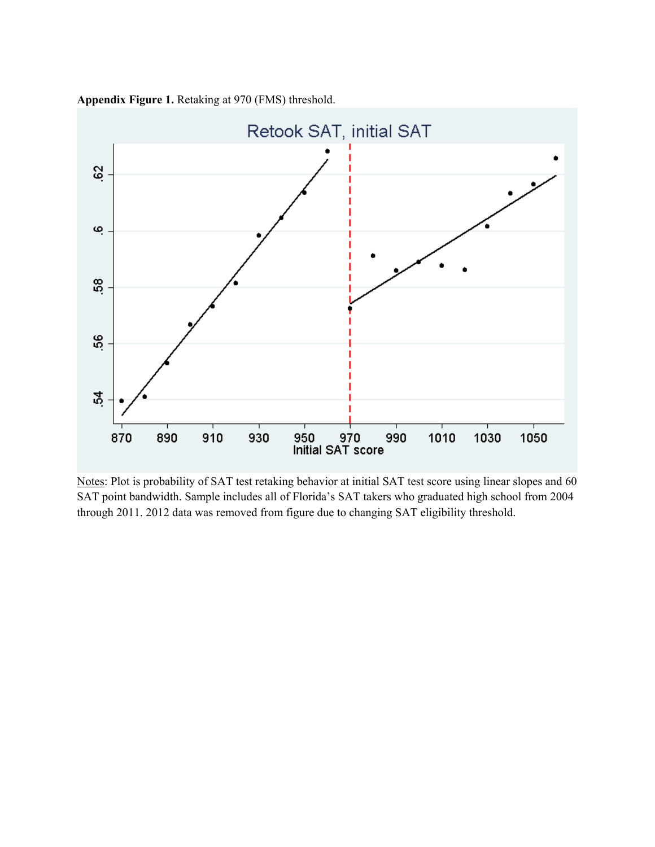



Notes: Plot is probability of SAT test retaking behavior at initial SAT test score using linear slopes and 60 SAT point bandwidth. Sample includes all of Florida's SAT takers who graduated high school from 2004 through 2011. 2012 data was removed from figure due to changing SAT eligibility threshold.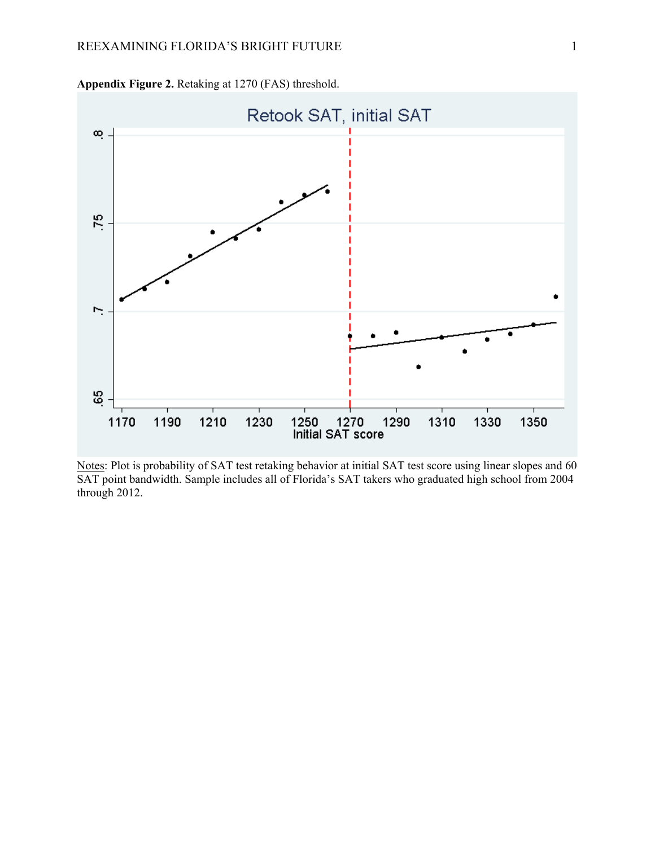

**Appendix Figure 2.** Retaking at 1270 (FAS) threshold.

Notes: Plot is probability of SAT test retaking behavior at initial SAT test score using linear slopes and 60 SAT point bandwidth. Sample includes all of Florida's SAT takers who graduated high school from 2004 through 2012.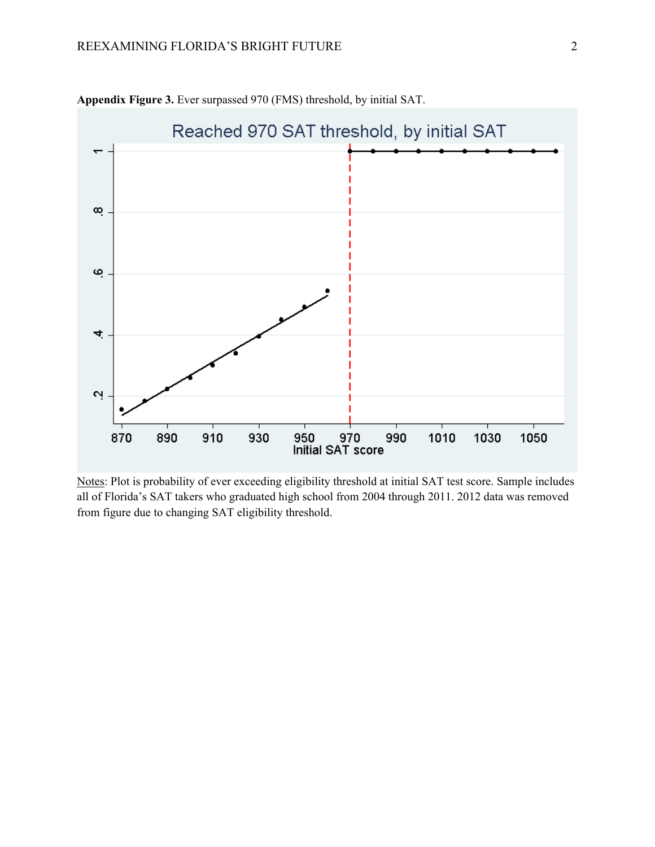

**Appendix Figure 3.** Ever surpassed 970 (FMS) threshold, by initial SAT.

Notes: Plot is probability of ever exceeding eligibility threshold at initial SAT test score. Sample includes all of Florida's SAT takers who graduated high school from 2004 through 2011. 2012 data was removed from figure due to changing SAT eligibility threshold.